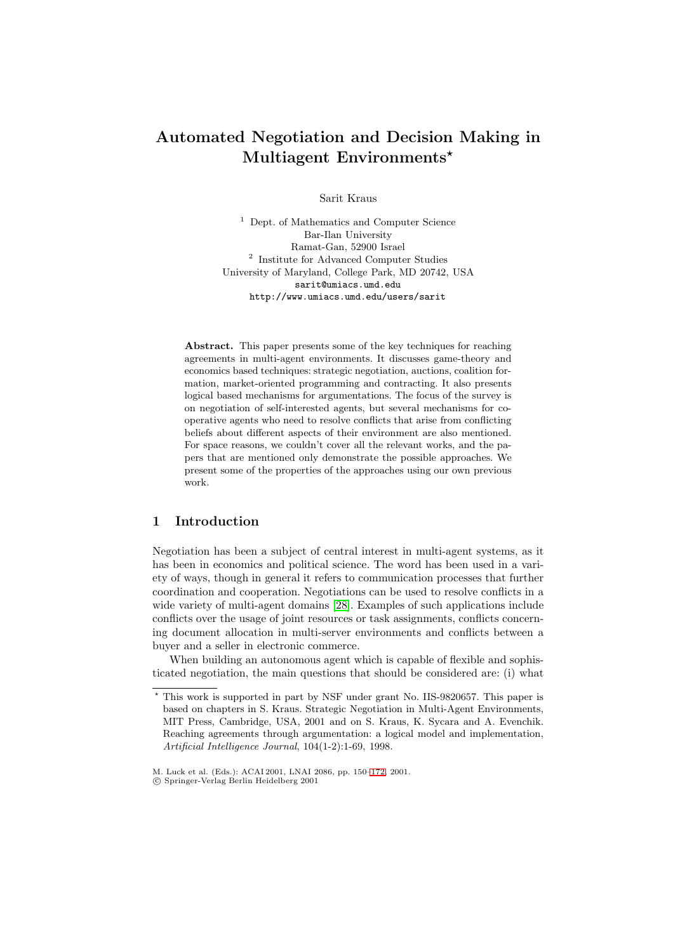# **Automated Negotiation and Decision Making in Multiagent Environments**

Sarit Kraus

<sup>1</sup> Dept. of Mathematics and Computer Science Bar-Ilan University Ramat-Gan, 52900 Israel <sup>2</sup> Institute for Advanced Computer Studies University of Maryland, College Park, MD 20742, USA sarit@umiacs.umd.edu http://www.umiacs.umd.edu/users/sarit

**Abstract.** This paper presents some of the key techniques for reaching agreements in multi-agent environments. It discusses game-theory and economics based techniques: strategic negotiation, auctions, coalition formation, market-oriented programming and contracting. It also presents logical based mechanisms for argumentations. The focus of the survey is on negotiation of self-interested agents, but several mechanisms for cooperative agents who need to resolve conflicts that arise from conflicting beliefs about different aspects of their environment are also mentioned. For space reasons, we couldn't cover all the relevant works, and the papers that are mentioned only demonstrate the possible approaches. We present some of the properties of the approaches using our own previous work.

#### **1 Introduction**

Negotiation has been a subject of central interest in multi-agent systems, as it has been in economics and political science. The word has been used in a variety of ways, though in general it refers to communication processes that further coordination and cooperation. Negotiations can be used to resolve conflicts in a wide variety of multi-agent domains [\[28\]](#page-17-0). Examples of such applications include conflicts over the usage of joint resources or task assignments, conflicts concerning document allocation in multi-server environments and conflicts between a buyer and a seller in electronic commerce.

When building an autonomous agent which is capable of flexible and sophisticated negotiation, the main questions that should be considered are: (i) what

<sup>\*</sup> This work is supported in part by NSF under grant No. IIS-9820657. This paper is based on chapters in S. Kraus. Strategic Negotiation in Multi-Agent Environments, MIT Press, Cambridge, USA, 2001 and on S. Kraus, K. Sycara and A. Evenchik. Reaching agreements through argumentation: a logical model and implementation, *Artificial Intelligence Journal*, 104(1-2):1-69, 1998.

M. Luck et al. (Eds.): ACAI 2001, LNAI 2086, pp. 150[–172,](#page-22-0) 2001.

c Springer-Verlag Berlin Heidelberg 2001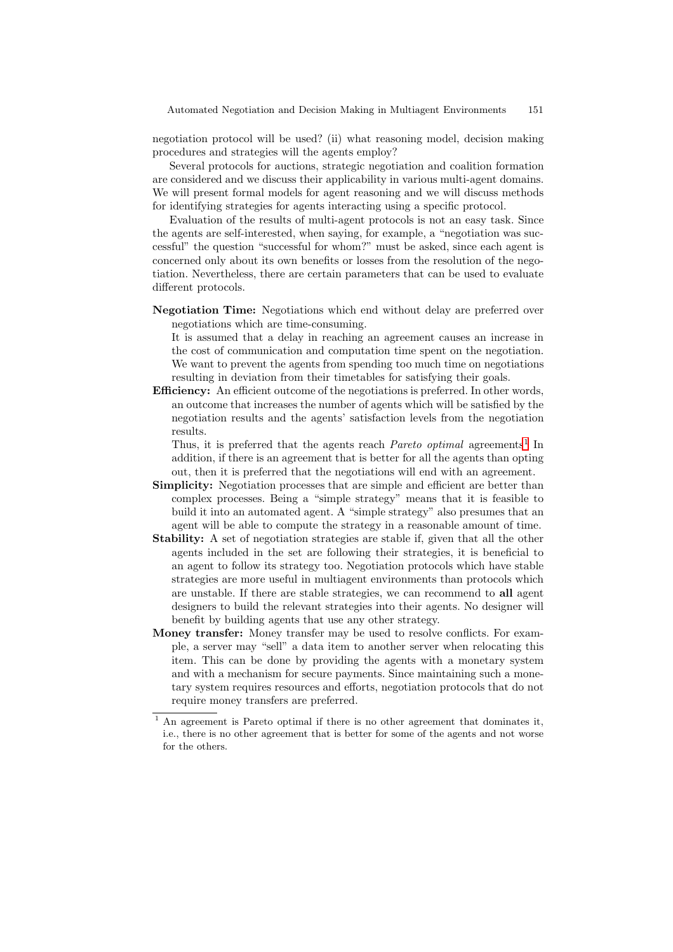negotiation protocol will be used? (ii) what reasoning model, decision making procedures and strategies will the agents employ?

Several protocols for auctions, strategic negotiation and coalition formation are considered and we discuss their applicability in various multi-agent domains. We will present formal models for agent reasoning and we will discuss methods for identifying strategies for agents interacting using a specific protocol.

Evaluation of the results of multi-agent protocols is not an easy task. Since the agents are self-interested, when saying, for example, a "negotiation was successful" the question "successful for whom?" must be asked, since each agent is concerned only about its own benefits or losses from the resolution of the negotiation. Nevertheless, there are certain parameters that can be used to evaluate different protocols.

**Negotiation Time:** Negotiations which end without delay are preferred over negotiations which are time-consuming.

It is assumed that a delay in reaching an agreement causes an increase in the cost of communication and computation time spent on the negotiation. We want to prevent the agents from spending too much time on negotiations resulting in deviation from their timetables for satisfying their goals.

**Efficiency:** An efficient outcome of the negotiations is preferred. In other words, an outcome that increases the number of agents which will be satisfied by the negotiation results and the agents' satisfaction levels from the negotiation results.

Thus, it is preferred that the agents reach *Pareto optimal* agreements<sup>[1](#page-1-0)</sup> In addition, if there is an agreement that is better for all the agents than opting out, then it is preferred that the negotiations will end with an agreement.

- **Simplicity:** Negotiation processes that are simple and efficient are better than complex processes. Being a "simple strategy" means that it is feasible to build it into an automated agent. A "simple strategy" also presumes that an agent will be able to compute the strategy in a reasonable amount of time.
- **Stability:** A set of negotiation strategies are stable if, given that all the other agents included in the set are following their strategies, it is beneficial to an agent to follow its strategy too. Negotiation protocols which have stable strategies are more useful in multiagent environments than protocols which are unstable. If there are stable strategies, we can recommend to **all** agent designers to build the relevant strategies into their agents. No designer will benefit by building agents that use any other strategy.
- **Money transfer:** Money transfer may be used to resolve conflicts. For example, a server may "sell" a data item to another server when relocating this item. This can be done by providing the agents with a monetary system and with a mechanism for secure payments. Since maintaining such a monetary system requires resources and efforts, negotiation protocols that do not require money transfers are preferred.

<span id="page-1-0"></span><sup>1</sup> An agreement is Pareto optimal if there is no other agreement that dominates it, i.e., there is no other agreement that is better for some of the agents and not worse for the others.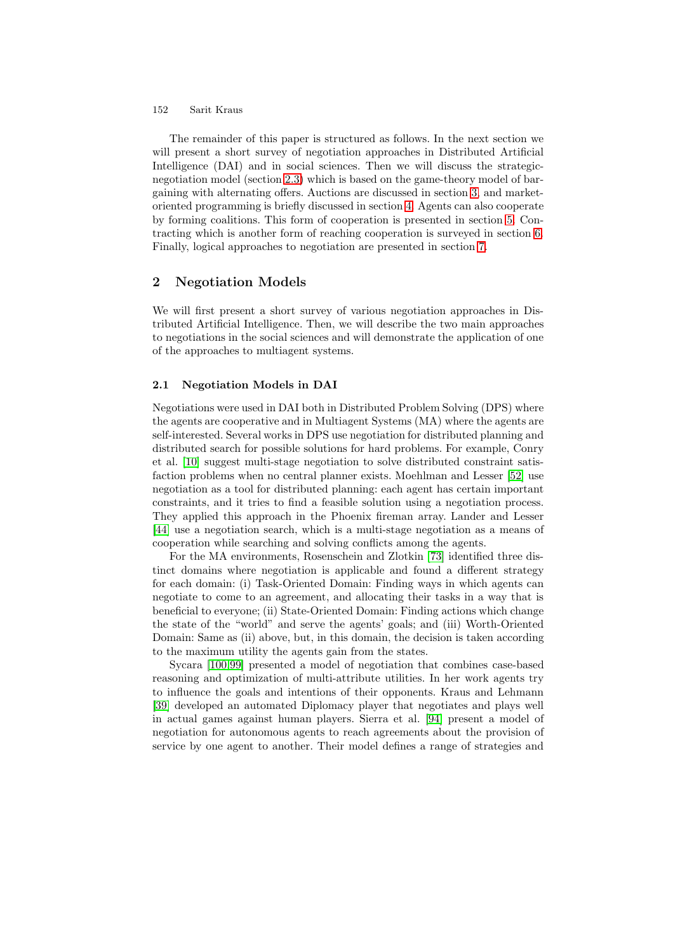The remainder of this paper is structured as follows. In the next section we will present a short survey of negotiation approaches in Distributed Artificial Intelligence (DAI) and in social sciences. Then we will discuss the strategicnegotiation model (section [2.3\)](#page-3-0) which is based on the game-theory model of bargaining with alternating offers. Auctions are discussed in section [3,](#page-8-0) and marketoriented programming is briefly discussed in section [4.](#page-10-0) Agents can also cooperate by forming coalitions. This form of cooperation is presented in section [5.](#page-10-1) Contracting which is another form of reaching cooperation is surveyed in section [6.](#page-12-0) Finally, logical approaches to negotiation are presented in section [7.](#page-13-0)

# **2 Negotiation Models**

We will first present a short survey of various negotiation approaches in Distributed Artificial Intelligence. Then, we will describe the two main approaches to negotiations in the social sciences and will demonstrate the application of one of the approaches to multiagent systems.

#### <span id="page-2-0"></span>**2.1 Negotiation Models in DAI**

Negotiations were used in DAI both in Distributed Problem Solving (DPS) where the agents are cooperative and in Multiagent Systems (MA) where the agents are self-interested. Several works in DPS use negotiation for distributed planning and distributed search for possible solutions for hard problems. For example, Conry et al. [\[10\]](#page-17-1) suggest multi-stage negotiation to solve distributed constraint satisfaction problems when no central planner exists. Moehlman and Lesser [\[52\]](#page-19-0) use negotiation as a tool for distributed planning: each agent has certain important constraints, and it tries to find a feasible solution using a negotiation process. They applied this approach in the Phoenix fireman array. Lander and Lesser [\[44\]](#page-18-0) use a negotiation search, which is a multi-stage negotiation as a means of cooperation while searching and solving conflicts among the agents.

For the MA environments, Rosenschein and Zlotkin [\[73\]](#page-19-1) identified three distinct domains where negotiation is applicable and found a different strategy for each domain: (i) Task-Oriented Domain: Finding ways in which agents can negotiate to come to an agreement, and allocating their tasks in a way that is beneficial to everyone; (ii) State-Oriented Domain: Finding actions which change the state of the "world" and serve the agents' goals; and (iii) Worth-Oriented Domain: Same as (ii) above, but, in this domain, the decision is taken according to the maximum utility the agents gain from the states.

Sycara [\[100,](#page-21-0)[99\]](#page-21-1) presented a model of negotiation that combines case-based reasoning and optimization of multi-attribute utilities. In her work agents try to influence the goals and intentions of their opponents. Kraus and Lehmann [\[39\]](#page-18-1) developed an automated Diplomacy player that negotiates and plays well in actual games against human players. Sierra et al. [\[94\]](#page-21-2) present a model of negotiation for autonomous agents to reach agreements about the provision of service by one agent to another. Their model defines a range of strategies and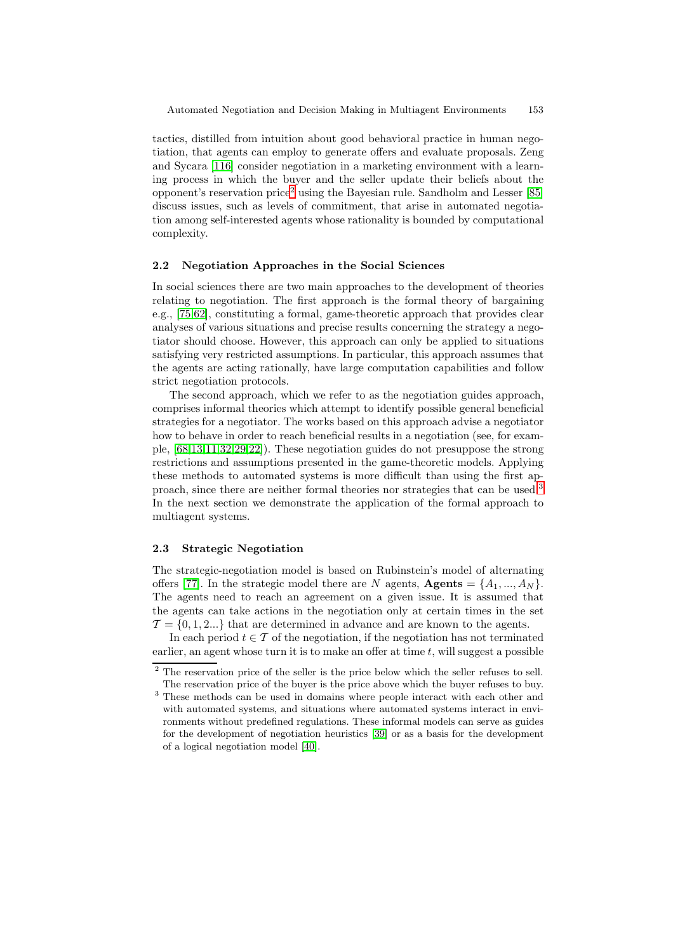tactics, distilled from intuition about good behavioral practice in human negotiation, that agents can employ to generate offers and evaluate proposals. Zeng and Sycara [\[116\]](#page-22-1) consider negotiation in a marketing environment with a learning process in which the buyer and the seller update their beliefs about the opponent's reservation price<sup>[2](#page-3-1)</sup> using the Bayesian rule. Sandholm and Lesser [\[85\]](#page-20-0) discuss issues, such as levels of commitment, that arise in automated negotiation among self-interested agents whose rationality is bounded by computational complexity.

#### **2.2 Negotiation Approaches in the Social Sciences**

In social sciences there are two main approaches to the development of theories relating to negotiation. The first approach is the formal theory of bargaining e.g., [\[75](#page-20-1)[,62\]](#page-19-2), constituting a formal, game-theoretic approach that provides clear analyses of various situations and precise results concerning the strategy a negotiator should choose. However, this approach can only be applied to situations satisfying very restricted assumptions. In particular, this approach assumes that the agents are acting rationally, have large computation capabilities and follow strict negotiation protocols.

The second approach, which we refer to as the negotiation guides approach, comprises informal theories which attempt to identify possible general beneficial strategies for a negotiator. The works based on this approach advise a negotiator how to behave in order to reach beneficial results in a negotiation (see, for example, [\[68](#page-19-3)[,13,](#page-17-2)[11](#page-17-3)[,32](#page-18-2)[,29](#page-18-3)[,22\]](#page-17-4)). These negotiation guides do not presuppose the strong restrictions and assumptions presented in the game-theoretic models. Applying these methods to automated systems is more difficult than using the first approach, since there are neither formal theories nor strategies that can be used.[3](#page-3-2) In the next section we demonstrate the application of the formal approach to multiagent systems.

#### <span id="page-3-0"></span>2.3 Strategic Negotiation

The strategic-negotiation model is based on Rubinstein's model of alternating offers [\[77\]](#page-20-2). In the strategic model there are *N* agents,  ${\bf Agents} = \{A_1, ..., A_N\}$ . The agents need to reach an agreement on a given issue. It is assumed that the agents can take actions in the negotiation only at certain times in the set  $\mathcal{T} = \{0, 1, 2...\}$  that are determined in advance and are known to the agents.

In each period  $t \in \mathcal{T}$  of the negotiation, if the negotiation has not terminated earlier, an agent whose turn it is to make an offer at time *t*, will suggest a possible

<span id="page-3-1"></span> $^{\rm 2}$  The reservation price of the seller is the price below which the seller refuses to sell. The reservation price of the buyer is the price above which the buyer refuses to buy.

<span id="page-3-2"></span><sup>3</sup> These methods can be used in domains where people interact with each other and with automated systems, and situations where automated systems interact in environments without predefined regulations. These informal models can serve as guides for the development of negotiation heuristics [\[39\]](#page-18-1) or as a basis for the development of a logical negotiation model [\[40\]](#page-18-4).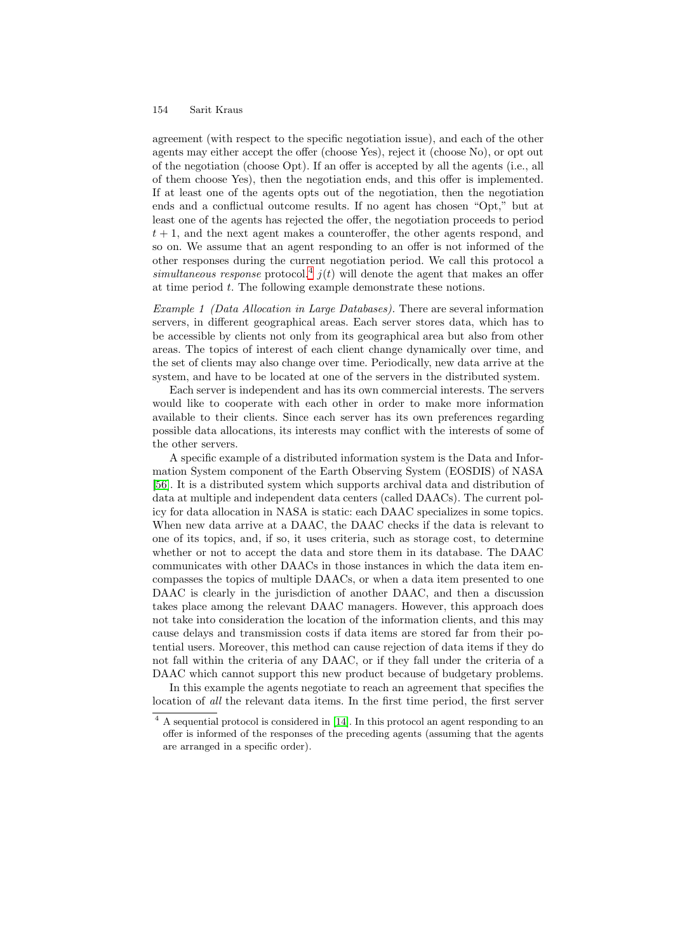agreement (with respect to the specific negotiation issue), and each of the other agents may either accept the offer (choose Yes), reject it (choose No), or opt out of the negotiation (choose Opt). If an offer is accepted by all the agents (i.e., all of them choose Yes), then the negotiation ends, and this offer is implemented. If at least one of the agents opts out of the negotiation, then the negotiation ends and a conflictual outcome results. If no agent has chosen "Opt," but at least one of the agents has rejected the offer, the negotiation proceeds to period *t* + 1, and the next agent makes a counteroffer, the other agents respond, and so on. We assume that an agent responding to an offer is not informed of the other responses during the current negotiation period. We call this protocol a *simultaneous response* protocol.<sup>[4](#page-4-0)</sup>  $j(t)$  will denote the agent that makes an offer at time period *t*. The following example demonstrate these notions.

<span id="page-4-1"></span>*Example 1 (Data Allocation in Large Databases).* There are several information servers, in different geographical areas. Each server stores data, which has to be accessible by clients not only from its geographical area but also from other areas. The topics of interest of each client change dynamically over time, and the set of clients may also change over time. Periodically, new data arrive at the system, and have to be located at one of the servers in the distributed system.

Each server is independent and has its own commercial interests. The servers would like to cooperate with each other in order to make more information available to their clients. Since each server has its own preferences regarding possible data allocations, its interests may conflict with the interests of some of the other servers.

A specific example of a distributed information system is the Data and Information System component of the Earth Observing System (EOSDIS) of NASA [\[56\]](#page-19-4). It is a distributed system which supports archival data and distribution of data at multiple and independent data centers (called DAACs). The current policy for data allocation in NASA is static: each DAAC specializes in some topics. When new data arrive at a DAAC, the DAAC checks if the data is relevant to one of its topics, and, if so, it uses criteria, such as storage cost, to determine whether or not to accept the data and store them in its database. The DAAC communicates with other DAACs in those instances in which the data item encompasses the topics of multiple DAACs, or when a data item presented to one DAAC is clearly in the jurisdiction of another DAAC, and then a discussion takes place among the relevant DAAC managers. However, this approach does not take into consideration the location of the information clients, and this may cause delays and transmission costs if data items are stored far from their potential users. Moreover, this method can cause rejection of data items if they do not fall within the criteria of any DAAC, or if they fall under the criteria of a DAAC which cannot support this new product because of budgetary problems.

In this example the agents negotiate to reach an agreement that specifies the location of *all* the relevant data items. In the first time period, the first server

<span id="page-4-0"></span><sup>4</sup> A sequential protocol is considered in [\[14\]](#page-17-5). In this protocol an agent responding to an offer is informed of the responses of the preceding agents (assuming that the agents are arranged in a specific order).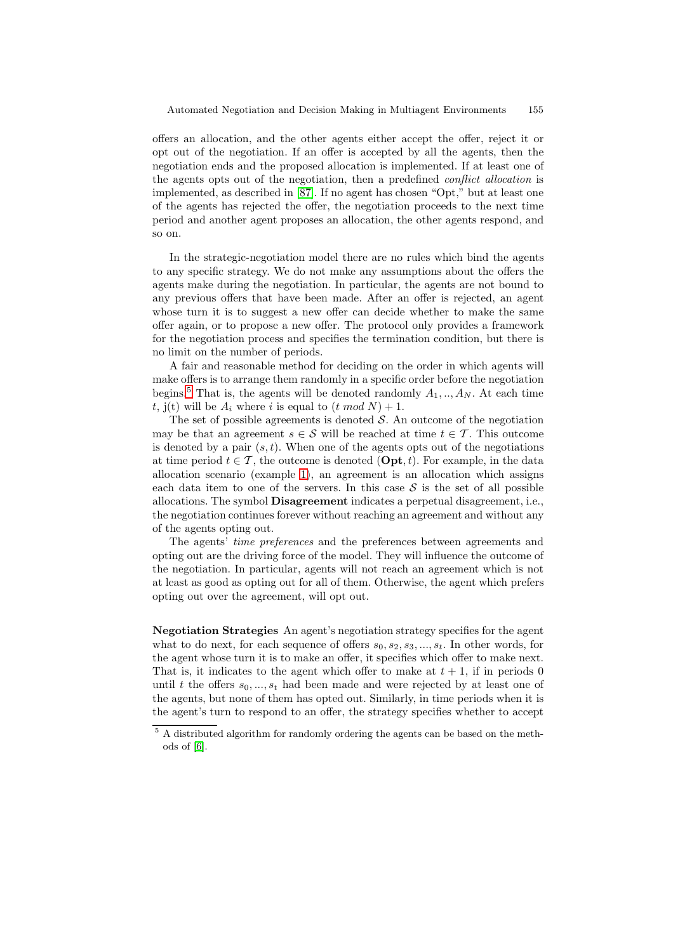offers an allocation, and the other agents either accept the offer, reject it or opt out of the negotiation. If an offer is accepted by all the agents, then the negotiation ends and the proposed allocation is implemented. If at least one of the agents opts out of the negotiation, then a predefined *conflict allocation* is implemented, as described in [\[87\]](#page-20-3). If no agent has chosen "Opt," but at least one of the agents has rejected the offer, the negotiation proceeds to the next time period and another agent proposes an allocation, the other agents respond, and so on.

In the strategic-negotiation model there are no rules which bind the agents to any specific strategy. We do not make any assumptions about the offers the agents make during the negotiation. In particular, the agents are not bound to any previous offers that have been made. After an offer is rejected, an agent whose turn it is to suggest a new offer can decide whether to make the same offer again, or to propose a new offer. The protocol only provides a framework for the negotiation process and specifies the termination condition, but there is no limit on the number of periods.

A fair and reasonable method for deciding on the order in which agents will make offers is to arrange them randomly in a specific order before the negotiation begins.<sup>[5](#page-5-0)</sup> That is, the agents will be denoted randomly  $A_1, \ldots, A_N$ . At each time *t*,  $i(t)$  will be  $A_i$  where *i* is equal to  $(t \mod N) + 1$ .

The set of possible agreements is denoted  $S$ . An outcome of the negotiation may be that an agreement  $s \in \mathcal{S}$  will be reached at time  $t \in \mathcal{T}$ . This outcome is denoted by a pair  $(s, t)$ . When one of the agents opts out of the negotiations at time period  $t \in \mathcal{T}$ , the outcome is denoted  $(\mathbf{Opt}, t)$ . For example, in the data allocation scenario (example [1\)](#page-4-1), an agreement is an allocation which assigns each data item to one of the servers. In this case  $S$  is the set of all possible allocations. The symbol **Disagreement** indicates a perpetual disagreement, i.e., the negotiation continues forever without reaching an agreement and without any of the agents opting out.

The agents' *time preferences* and the preferences between agreements and opting out are the driving force of the model. They will influence the outcome of the negotiation. In particular, agents will not reach an agreement which is not at least as good as opting out for all of them. Otherwise, the agent which prefers opting out over the agreement, will opt out.

**Negotiation Strategies** An agent's negotiation strategy specifies for the agent what to do next, for each sequence of offers  $s_0, s_2, s_3, \ldots, s_t$ . In other words, for the agent whose turn it is to make an offer, it specifies which offer to make next. That is, it indicates to the agent which offer to make at  $t + 1$ , if in periods 0 until  $t$  the offers  $s_0, \ldots, s_t$  had been made and were rejected by at least one of the agents, but none of them has opted out. Similarly, in time periods when it is the agent's turn to respond to an offer, the strategy specifies whether to accept

<span id="page-5-0"></span><sup>5</sup> A distributed algorithm for randomly ordering the agents can be based on the methods of [\[6\]](#page-16-0).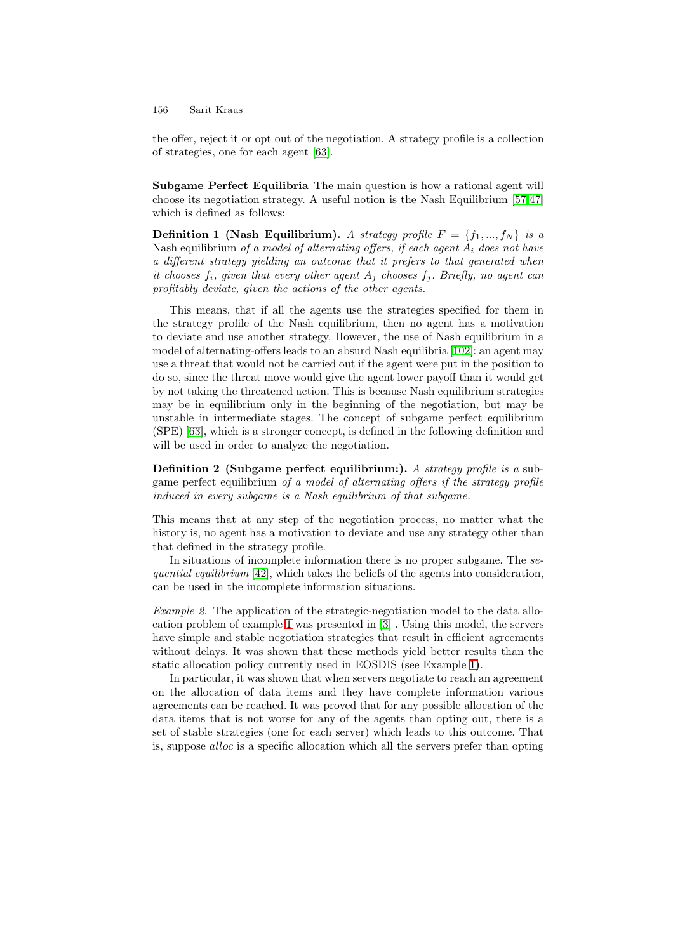the offer, reject it or opt out of the negotiation. A strategy profile is a collection of strategies, one for each agent [\[63\]](#page-19-5).

**Subgame Perfect Equilibria** The main question is how a rational agent will choose its negotiation strategy. A useful notion is the Nash Equilibrium [\[57](#page-19-6)[,47\]](#page-18-5) which is defined as follows:

**Definition 1 (Nash Equilibrium).** *A strategy profile*  $F = \{f_1, ..., f_N\}$  *is a* Nash equilibrium *of a model of alternating offers,if each agent A<sup>i</sup> does not have a different strategy yielding an outcome that it prefers to that generated when it chooses*  $f_i$ *, given that every other agent*  $A_j$  *chooses*  $f_j$ *. Briefly, no agent can* profitably deviate, given the actions of the other agents.

This means, that if all the agents use the strategies specified for them in the strategy profile of the Nash equilibrium, then no agent has a motivation to deviate and use another strategy. However, the use of Nash equilibrium in a model of alternating-offers leads to an absurd Nash equilibria [\[102\]](#page-21-3): an agent may use a threat that would not be carried out if the agent were put in the position to do so, since the threat move would give the agent lower payoff than it would get by not taking the threatened action. This is because Nash equilibrium strategies may be in equilibrium only in the beginning of the negotiation, but may be unstable in intermediate stages. The concept of subgame perfect equilibrium (SPE) [\[63\]](#page-19-5), which is a stronger concept, is defined in the following definition and will be used in order to analyze the negotiation.

**Definition 2 (Subgame perfect equilibrium:).** *A strategy profile is a* subgame perfect equilibrium *of a model of alternating offers if the strategy profile induced in every subgame is a Nash equilibrium of that subgame.*

This means that at any step of the negotiation process, no matter what the history is, no agent has a motivation to deviate and use any strategy other than that defined in the strategy profile.

In situations of incomplete information there is no proper subgame. The *sequential equilibrium* [\[42\]](#page-18-6), which takes the beliefs of the agents into consideration, can be used in the incomplete information situations.

<span id="page-6-0"></span>*Example 2.* The application of the strategic-negotiation model to the data allocation problem of example [1](#page-4-1) was presented in [\[3\]](#page-16-1) . Using this model, the servers have simple and stable negotiation strategies that result in efficient agreements without delays. It was shown that these methods yield better results than the static allocation policy currently used in EOSDIS (see Example [1\)](#page-4-1).

In particular, it was shown that when servers negotiate to reach an agreement on the allocation of data items and they have complete information various agreements can be reached. It was proved that for any possible allocation of the data items that is not worse for any of the agents than opting out, there is a set of stable strategies (one for each server) which leads to this outcome. That is, suppose *alloc* is a specific allocation which all the servers prefer than opting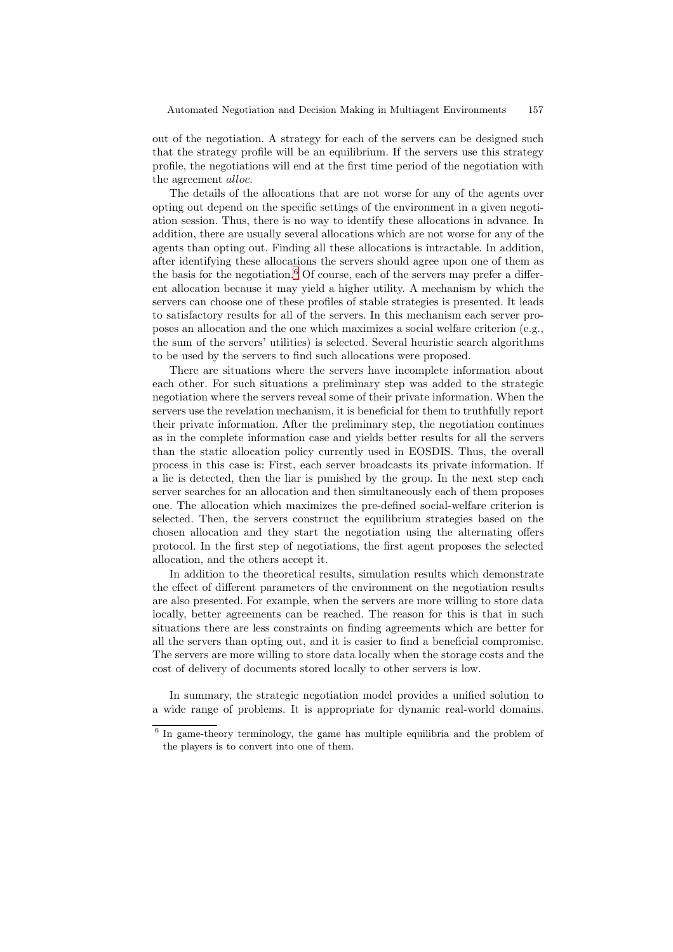out of the negotiation. A strategy for each of the servers can be designed such that the strategy profile will be an equilibrium. If the servers use this strategy profile, the negotiations will end at the first time period of the negotiation with the agreement *alloc*.

The details of the allocations that are not worse for any of the agents over opting out depend on the specific settings of the environment in a given negotiation session. Thus, there is no way to identify these allocations in advance. In addition, there are usually several allocations which are not worse for any of the agents than opting out. Finding all these allocations is intractable. In addition, after identifying these allocations the servers should agree upon one of them as the basis for the negotiation.<sup>[6](#page-7-0)</sup> Of course, each of the servers may prefer a different allocation because it may yield a higher utility. A mechanism by which the servers can choose one of these profiles of stable strategies is presented. It leads to satisfactory results for all of the servers. In this mechanism each server proposes an allocation and the one which maximizes a social welfare criterion (e.g., the sum of the servers' utilities) is selected. Several heuristic search algorithms to be used by the servers to find such allocations were proposed.

There are situations where the servers have incomplete information about each other. For such situations a preliminary step was added to the strategic negotiation where the servers reveal some of their private information. When the servers use the revelation mechanism, it is beneficial for them to truthfully report their private information. After the preliminary step, the negotiation continues as in the complete information case and yields better results for all the servers than the static allocation policy currently used in EOSDIS. Thus, the overall process in this case is: First, each server broadcasts its private information. If a lie is detected, then the liar is punished by the group. In the next step each server searches for an allocation and then simultaneously each of them proposes one. The allocation which maximizes the pre-defined social-welfare criterion is selected. Then, the servers construct the equilibrium strategies based on the chosen allocation and they start the negotiation using the alternating offers protocol. In the first step of negotiations, the first agent proposes the selected allocation, and the others accept it.

In addition to the theoretical results, simulation results which demonstrate the effect of different parameters of the environment on the negotiation results are also presented. For example, when the servers are more willing to store data locally, better agreements can be reached. The reason for this is that in such situations there are less constraints on finding agreements which are better for all the servers than opting out, and it is easier to find a beneficial compromise. The servers are more willing to store data locally when the storage costs and the cost of delivery of documents stored locally to other servers is low.

In summary, the strategic negotiation model provides a unified solution to a wide range of problems. It is appropriate for dynamic real-world domains.

<span id="page-7-0"></span><sup>6</sup> In game-theory terminology, the game has multiple equilibria and the problem of the players is to convert into one of them.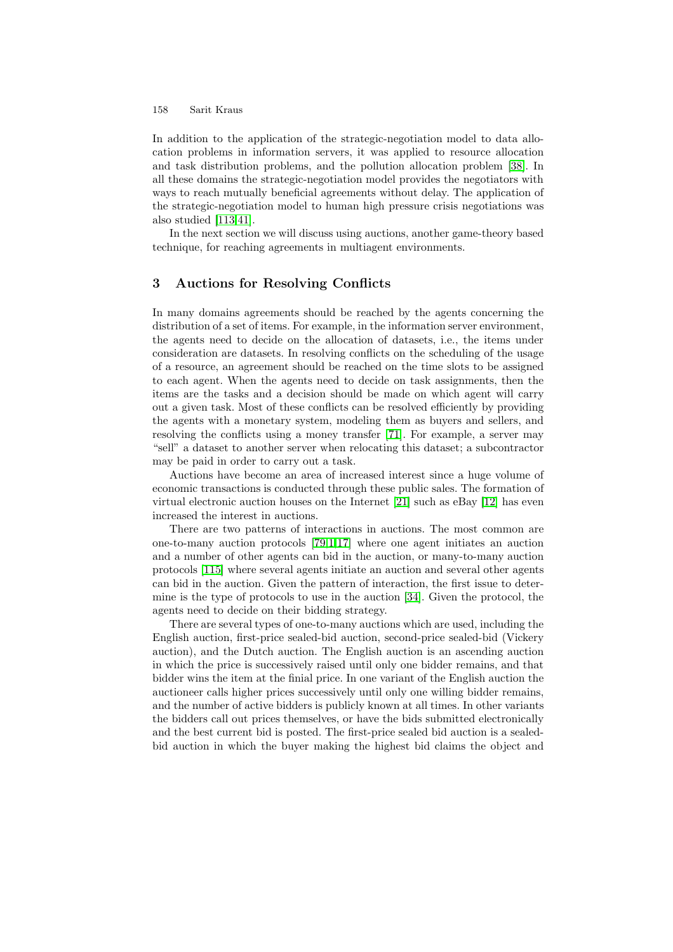In addition to the application of the strategic-negotiation model to data allocation problems in information servers, it was applied to resource allocation and task distribution problems, and the pollution allocation problem [\[38\]](#page-18-7). In all these domains the strategic-negotiation model provides the negotiators with ways to reach mutually beneficial agreements without delay. The application of the strategic-negotiation model to human high pressure crisis negotiations was also studied [\[113](#page-21-4)[,41\]](#page-18-8).

In the next section we will discuss using auctions, another game-theory based technique, for reaching agreements in multiagent environments.

### <span id="page-8-0"></span>**3 Auctions for Resolving Conflicts**

In many domains agreements should be reached by the agents concerning the distribution of a set of items. For example, in the information server environment, the agents need to decide on the allocation of datasets, i.e., the items under consideration are datasets. In resolving conflicts on the scheduling of the usage of a resource, an agreement should be reached on the time slots to be assigned to each agent. When the agents need to decide on task assignments, then the items are the tasks and a decision should be made on which agent will carry out a given task. Most of these conflicts can be resolved efficiently by providing the agents with a monetary system, modeling them as buyers and sellers, and resolving the conflicts using a money transfer [\[71\]](#page-19-7). For example, a server may "sell" a dataset to another server when relocating this dataset; a subcontractor may be paid in order to carry out a task.

Auctions have become an area of increased interest since a huge volume of economic transactions is conducted through these public sales. The formation of virtual electronic auction houses on the Internet [\[21\]](#page-17-6) such as eBay [\[12\]](#page-17-7) has even increased the interest in auctions.

There are two patterns of interactions in auctions. The most common are one-to-many auction protocols [\[79](#page-20-4)[,1](#page-16-2)[,17\]](#page-17-8) where one agent initiates an auction and a number of other agents can bid in the auction, or many-to-many auction protocols [\[115\]](#page-22-2) where several agents initiate an auction and several other agents can bid in the auction. Given the pattern of interaction, the first issue to determine is the type of protocols to use in the auction [\[34\]](#page-18-9). Given the protocol, the agents need to decide on their bidding strategy.

There are several types of one-to-many auctions which are used, including the English auction, first-price sealed-bid auction, second-price sealed-bid (Vickery auction), and the Dutch auction. The English auction is an ascending auction in which the price is successively raised until only one bidder remains, and that bidder wins the item at the finial price. In one variant of the English auction the auctioneer calls higher prices successively until only one willing bidder remains, and the number of active bidders is publicly known at all times. In other variants the bidders call out prices themselves, or have the bids submitted electronically and the best current bid is posted. The first-price sealed bid auction is a sealedbid auction in which the buyer making the highest bid claims the object and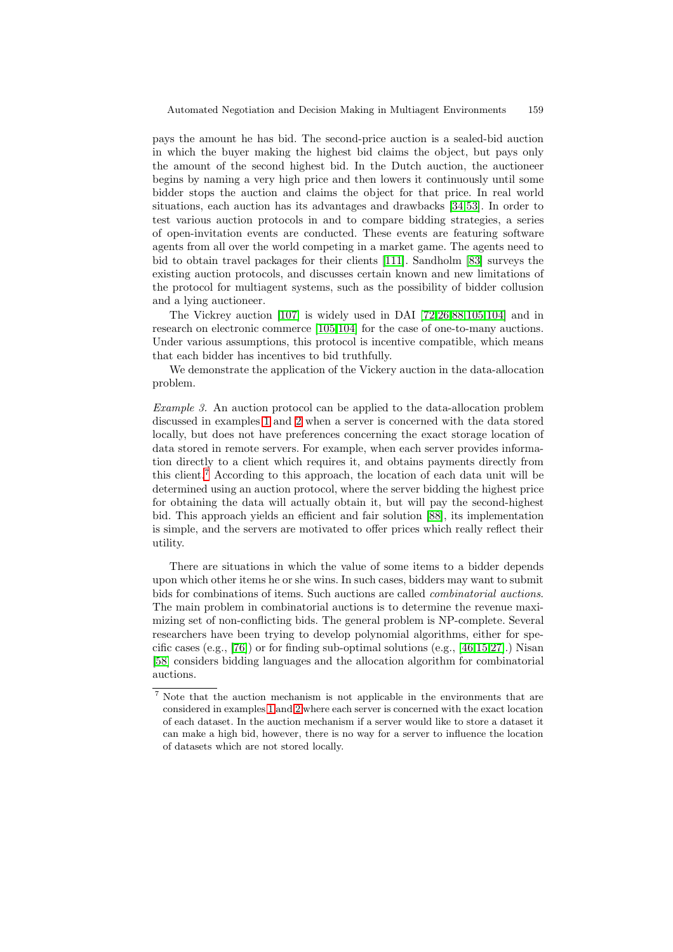pays the amount he has bid. The second-price auction is a sealed-bid auction in which the buyer making the highest bid claims the object, but pays only the amount of the second highest bid. In the Dutch auction, the auctioneer begins by naming a very high price and then lowers it continuously until some bidder stops the auction and claims the object for that price. In real world situations, each auction has its advantages and drawbacks [\[34](#page-18-9)[,53\]](#page-19-8). In order to test various auction protocols in and to compare bidding strategies, a series of open-invitation events are conducted. These events are featuring software agents from all over the world competing in a market game. The agents need to bid to obtain travel packages for their clients [\[111\]](#page-21-5). Sandholm [\[83\]](#page-20-5) surveys the existing auction protocols, and discusses certain known and new limitations of the protocol for multiagent systems, such as the possibility of bidder collusion and a lying auctioneer.

The Vickrey auction [\[107\]](#page-21-6) is widely used in DAI [\[72](#page-19-9)[,26,](#page-17-9)[88](#page-20-6)[,105](#page-21-7)[,104\]](#page-21-8) and in research on electronic commerce [\[105,](#page-21-7)[104\]](#page-21-8) for the case of one-to-many auctions. Under various assumptions, this protocol is incentive compatible, which means that each bidder has incentives to bid truthfully.

We demonstrate the application of the Vickery auction in the data-allocation problem.

*Example 3.* An auction protocol can be applied to the data-allocation problem discussed in examples [1](#page-4-1) and [2](#page-6-0)when a server is concerned with the data stored locally, but does not have preferences concerning the exact storage location of data stored in remote servers. For example, when each server provides information directly to a client which requires it, and obtains payments directly from this client.[7](#page-9-0) According to this approach, the location of each data unit will be determined using an auction protocol, where the server bidding the highest price for obtaining the data will actually obtain it, but will pay the second-highest bid. This approach yields an efficient and fair solution [\[88\]](#page-20-6), its implementation is simple, and the servers are motivated to offer prices which really reflect their utility.

There are situations in which the value of some items to a bidder depends upon which other items he or she wins. In such cases, bidders may want to submit bids for combinations of items. Such auctions are called *combinatorial auctions*. The main problem in combinatorial auctions is to determine the revenue maximizing set of non-conflicting bids. The general problem is NP-complete. Several researchers have been trying to develop polynomial algorithms, either for specific cases (e.g., [\[76\]](#page-20-7)) or for finding sub-optimal solutions (e.g., [\[46](#page-18-10)[,15,](#page-17-10)[27\]](#page-17-11).) Nisan [\[58\]](#page-19-10) considers bidding languages and the allocation algorithm for combinatorial auctions.

<span id="page-9-0"></span>Note that the auction mechanism is not applicable in the environments that are considered in examples [1](#page-4-1) and [2](#page-6-0)where each server is concerned with the exact location of each dataset. In the auction mechanism if a server would like to store a dataset it can make a high bid, however, there is no way for a server to influence the location of datasets which are not stored locally.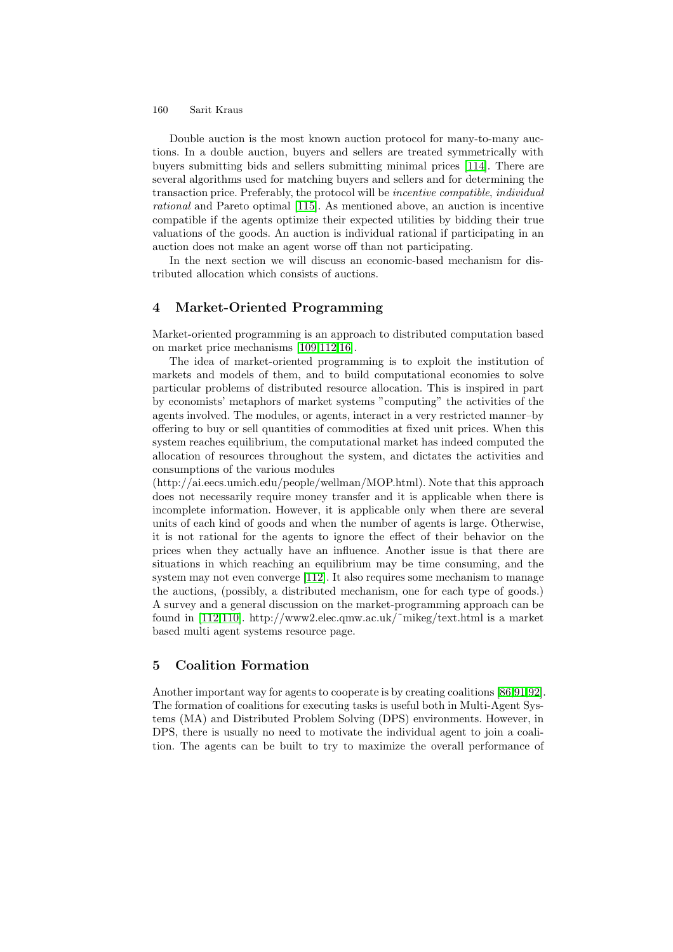Double auction is the most known auction protocol for many-to-many auctions. In a double auction, buyers and sellers are treated symmetrically with buyers submitting bids and sellers submitting minimal prices [\[114\]](#page-21-9). There are several algorithms used for matching buyers and sellers and for determining the transaction price. Preferably, the protocol will be *incentive compatible*, *individual rational* and Pareto optimal [\[115\]](#page-22-2). As mentioned above, an auction is incentive compatible if the agents optimize their expected utilities by bidding their true valuations of the goods. An auction is individual rational if participating in an auction does not make an agent worse off than not participating.

In the next section we will discuss an economic-based mechanism for distributed allocation which consists of auctions.

# <span id="page-10-0"></span>**4 Market-Oriented Programming**

Market-oriented programming is an approach to distributed computation based on market price mechanisms [\[109,](#page-21-10)[112](#page-21-11)[,16\]](#page-17-12).

The idea of market-oriented programming is to exploit the institution of markets and models of them, and to build computational economies to solve particular problems of distributed resource allocation. This is inspired in part by economists' metaphors of market systems "computing" the activities of the agents involved. The modules, or agents, interact in a very restricted manner–by offering to buy or sell quantities of commodities at fixed unit prices. When this system reaches equilibrium, the computational market has indeed computed the allocation of resources throughout the system, and dictates the activities and consumptions of the various modules

(http://ai.eecs.umich.edu/people/wellman/MOP.html). Note that this approach does not necessarily require money transfer and it is applicable when there is incomplete information. However, it is applicable only when there are several units of each kind of goods and when the number of agents is large. Otherwise, it is not rational for the agents to ignore the effect of their behavior on the prices when they actually have an influence. Another issue is that there are situations in which reaching an equilibrium may be time consuming, and the system may not even converge [\[112\]](#page-21-11). It also requires some mechanism to manage the auctions, (possibly, a distributed mechanism, one for each type of goods.) A survey and a general discussion on the market-programming approach can be found in [\[112](#page-21-11)[,110\]](#page-21-12). http://www2.elec.qmw.ac.uk/˜mikeg/text.html is a market based multi agent systems resource page.

# <span id="page-10-1"></span>**5 Coalition Formation**

Another important way for agents to cooperate is by creating coalitions [\[86,](#page-20-8)[91](#page-20-9)[,92\]](#page-20-10). The formation of coalitions for executing tasks is useful both in Multi-Agent Systems (MA) and Distributed Problem Solving (DPS) environments. However, in DPS, there is usually no need to motivate the individual agent to join a coalition. The agents can be built to try to maximize the overall performance of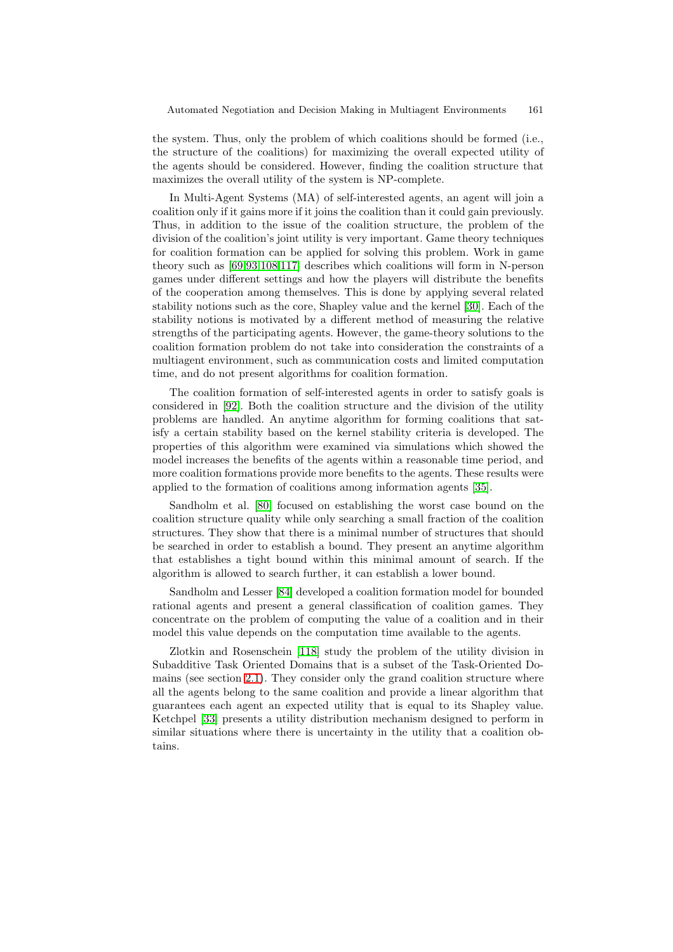the system. Thus, only the problem of which coalitions should be formed (i.e., the structure of the coalitions) for maximizing the overall expected utility of the agents should be considered. However, finding the coalition structure that maximizes the overall utility of the system is NP-complete.

In Multi-Agent Systems (MA) of self-interested agents, an agent will join a coalition only if it gains more if it joins the coalition than it could gain previously. Thus, in addition to the issue of the coalition structure, the problem of the division of the coalition's joint utility is very important. Game theory techniques for coalition formation can be applied for solving this problem. Work in game theory such as [\[69,](#page-19-11)[93,](#page-20-11)[108](#page-21-13)[,117\]](#page-22-3) describes which coalitions will form in N-person games under different settings and how the players will distribute the benefits of the cooperation among themselves. This is done by applying several related stability notions such as the core, Shapley value and the kernel [\[30\]](#page-18-11). Each of the stability notions is motivated by a different method of measuring the relative strengths of the participating agents. However, the game-theory solutions to the coalition formation problem do not take into consideration the constraints of a multiagent environment, such as communication costs and limited computation time, and do not present algorithms for coalition formation.

The coalition formation of self-interested agents in order to satisfy goals is considered in [\[92\]](#page-20-10). Both the coalition structure and the division of the utility problems are handled. An anytime algorithm for forming coalitions that satisfy a certain stability based on the kernel stability criteria is developed. The properties of this algorithm were examined via simulations which showed the model increases the benefits of the agents within a reasonable time period, and more coalition formations provide more benefits to the agents. These results were applied to the formation of coalitions among information agents [\[35\]](#page-18-12).

Sandholm et al. [\[80\]](#page-20-12) focused on establishing the worst case bound on the coalition structure quality while only searching a small fraction of the coalition structures. They show that there is a minimal number of structures that should be searched in order to establish a bound. They present an anytime algorithm that establishes a tight bound within this minimal amount of search. If the algorithm is allowed to search further, it can establish a lower bound.

Sandholm and Lesser [\[84\]](#page-20-13) developed a coalition formation model for bounded rational agents and present a general classification of coalition games. They concentrate on the problem of computing the value of a coalition and in their model this value depends on the computation time available to the agents.

Zlotkin and Rosenschein [\[118\]](#page-22-4) study the problem of the utility division in Subadditive Task Oriented Domains that is a subset of the Task-Oriented Domains (see section [2.1\)](#page-2-0). They consider only the grand coalition structure where all the agents belong to the same coalition and provide a linear algorithm that guarantees each agent an expected utility that is equal to its Shapley value. Ketchpel [\[33\]](#page-18-13) presents a utility distribution mechanism designed to perform in similar situations where there is uncertainty in the utility that a coalition obtains.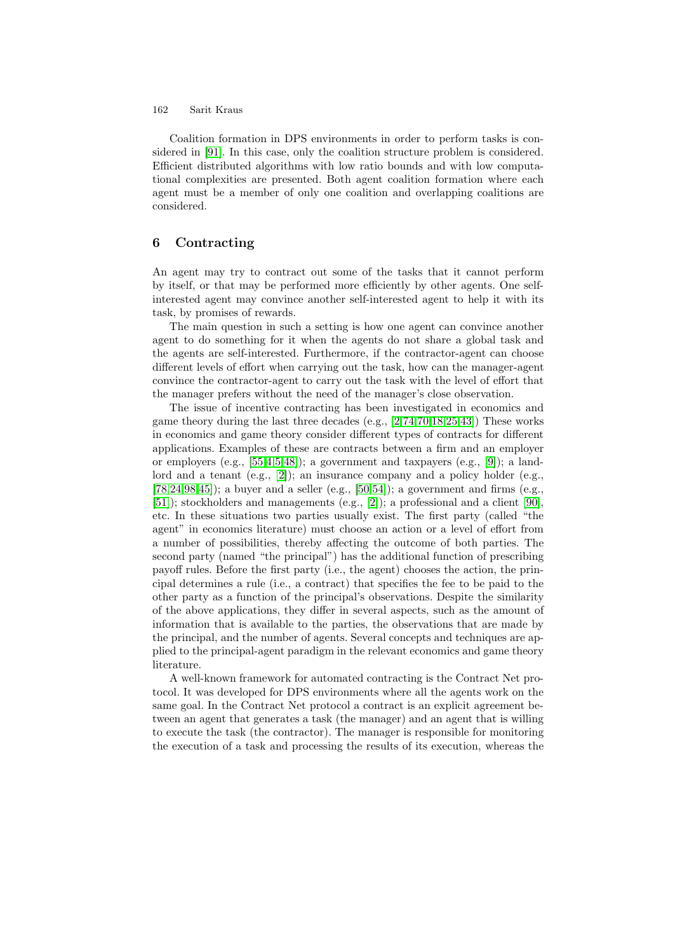Coalition formation in DPS environments in order to perform tasks is considered in [\[91\]](#page-20-9). In this case, only the coalition structure problem is considered. Efficient distributed algorithms with low ratio bounds and with low computational complexities are presented. Both agent coalition formation where each agent must be a member of only one coalition and overlapping coalitions are considered.

#### <span id="page-12-0"></span>**6 Contracting**

An agent may try to contract out some of the tasks that it cannot perform by itself, or that may be performed more efficiently by other agents. One selfinterested agent may convince another self-interested agent to help it with its task, by promises of rewards.

The main question in such a setting is how one agent can convince another agent to do something for it when the agents do not share a global task and the agents are self-interested. Furthermore, if the contractor-agent can choose different levels of effort when carrying out the task, how can the manager-agent convince the contractor-agent to carry out the task with the level of effort that the manager prefers without the need of the manager's close observation.

The issue of incentive contracting has been investigated in economics and game theory during the last three decades (e.g., [\[2](#page-16-3)[,74](#page-19-12)[,70,](#page-19-13)[18](#page-17-13)[,25](#page-17-14)[,43\]](#page-18-14)) These works in economics and game theory consider different types of contracts for different applications. Examples of these are contracts between a firm and an employer or employers (e.g., [\[55,](#page-19-14)[4,](#page-16-4)[5](#page-16-5)[,48\]](#page-18-15)); a government and taxpayers (e.g., [\[9\]](#page-17-15)); a landlord and a tenant (e.g.,  $[2]$ ); an insurance company and a policy holder (e.g.,  $(78,24,98,45)$  $(78,24,98,45)$  $(78,24,98,45)$  $(78,24,98,45)$ ; a buyer and a seller (e.g.,  $[50,54]$  $[50,54]$ ); a government and firms (e.g., [\[51\]](#page-19-16)); stockholders and managements (e.g., [\[2\]](#page-16-3)); a professional and a client [\[90\]](#page-20-15), etc. In these situations two parties usually exist. The first party (called "the agent" in economics literature) must choose an action or a level of effort from a number of possibilities, thereby affecting the outcome of both parties. The second party (named "the principal") has the additional function of prescribing payoff rules. Before the first party (i.e., the agent) chooses the action, the principal determines a rule (i.e., a contract) that specifies the fee to be paid to the other party as a function of the principal's observations. Despite the similarity of the above applications, they differ in several aspects, such as the amount of information that is available to the parties, the observations that are made by the principal, and the number of agents. Several concepts and techniques are applied to the principal-agent paradigm in the relevant economics and game theory literature.

A well-known framework for automated contracting is the Contract Net protocol. It was developed for DPS environments where all the agents work on the same goal. In the Contract Net protocol a contract is an explicit agreement between an agent that generates a task (the manager) and an agent that is willing to execute the task (the contractor). The manager is responsible for monitoring the execution of a task and processing the results of its execution, whereas the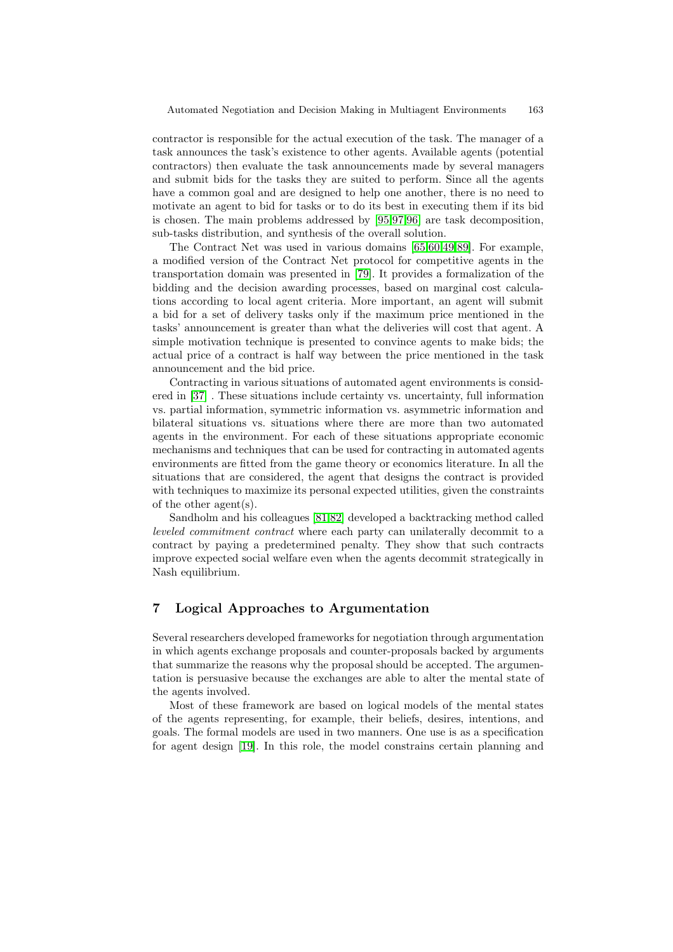contractor is responsible for the actual execution of the task. The manager of a task announces the task's existence to other agents. Available agents (potential contractors) then evaluate the task announcements made by several managers and submit bids for the tasks they are suited to perform. Since all the agents have a common goal and are designed to help one another, there is no need to motivate an agent to bid for tasks or to do its best in executing them if its bid is chosen. The main problems addressed by [\[95,](#page-21-15)[97,](#page-21-16)[96\]](#page-21-17) are task decomposition, sub-tasks distribution, and synthesis of the overall solution.

The Contract Net was used in various domains [\[65,](#page-19-17)[60,](#page-19-18)[49](#page-18-18)[,89\]](#page-20-16). For example, a modified version of the Contract Net protocol for competitive agents in the transportation domain was presented in [\[79\]](#page-20-4). It provides a formalization of the bidding and the decision awarding processes, based on marginal cost calculations according to local agent criteria. More important, an agent will submit a bid for a set of delivery tasks only if the maximum price mentioned in the tasks' announcement is greater than what the deliveries will cost that agent. A simple motivation technique is presented to convince agents to make bids; the actual price of a contract is half way between the price mentioned in the task announcement and the bid price.

Contracting in various situations of automated agent environments is considered in [\[37\]](#page-18-19) . These situations include certainty vs. uncertainty, full information vs. partial information, symmetric information vs. asymmetric information and bilateral situations vs. situations where there are more than two automated agents in the environment. For each of these situations appropriate economic mechanisms and techniques that can be used for contracting in automated agents environments are fitted from the game theory or economics literature. In all the situations that are considered, the agent that designs the contract is provided with techniques to maximize its personal expected utilities, given the constraints of the other agent(s).

Sandholm and his colleagues [\[81](#page-20-17)[,82\]](#page-20-18) developed a backtracking method called *leveled commitment contract* where each party can unilaterally decommit to a contract by paying a predetermined penalty. They show that such contracts improve expected social welfare even when the agents decommit strategically in Nash equilibrium.

#### <span id="page-13-0"></span>**7 Logical Approaches to Argumentation**

Several researchers developed frameworks for negotiation through argumentation in which agents exchange proposals and counter-proposals backed by arguments that summarize the reasons why the proposal should be accepted. The argumentation is persuasive because the exchanges are able to alter the mental state of the agents involved.

Most of these framework are based on logical models of the mental states of the agents representing, for example, their beliefs, desires, intentions, and goals. The formal models are used in two manners. One use is as a specification for agent design [\[19\]](#page-17-17). In this role, the model constrains certain planning and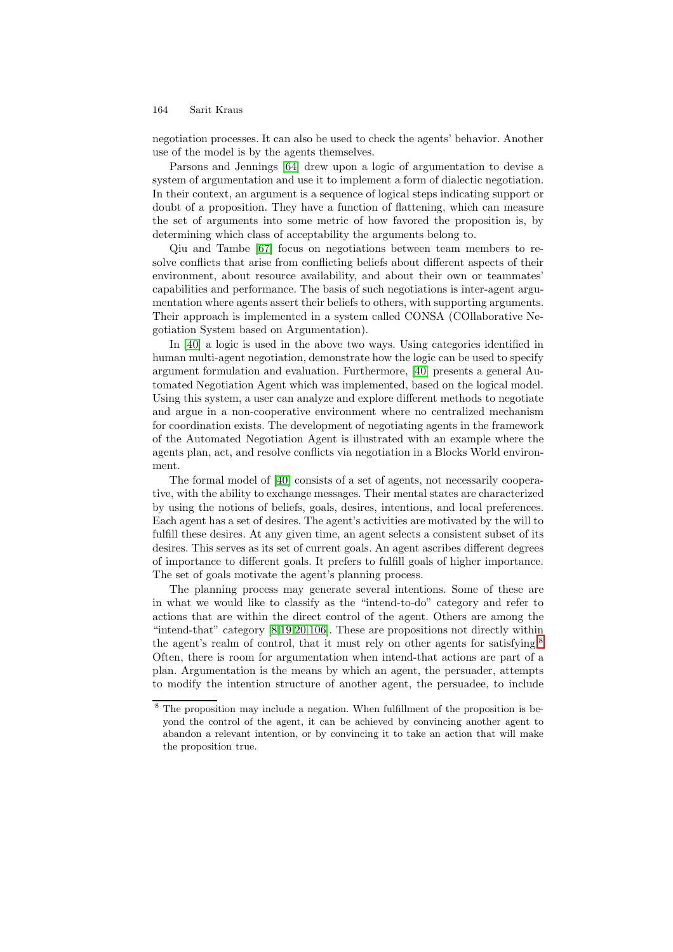negotiation processes. It can also be used to check the agents' behavior. Another use of the model is by the agents themselves.

Parsons and Jennings [\[64\]](#page-19-19) drew upon a logic of argumentation to devise a system of argumentation and use it to implement a form of dialectic negotiation. In their context, an argument is a sequence of logical steps indicating support or doubt of a proposition. They have a function of flattening, which can measure the set of arguments into some metric of how favored the proposition is, by determining which class of acceptability the arguments belong to.

Qiu and Tambe [\[67\]](#page-19-20) focus on negotiations between team members to resolve conflicts that arise from conflicting beliefs about different aspects of their environment, about resource availability, and about their own or teammates' capabilities and performance. The basis of such negotiations is inter-agent argumentation where agents assert their beliefs to others, with supporting arguments. Their approach is implemented in a system called CONSA (COllaborative Negotiation System based on Argumentation).

In [\[40\]](#page-18-4) a logic is used in the above two ways. Using categories identified in human multi-agent negotiation, demonstrate how the logic can be used to specify argument formulation and evaluation. Furthermore, [\[40\]](#page-18-4) presents a general Automated Negotiation Agent which was implemented, based on the logical model. Using this system, a user can analyze and explore different methods to negotiate and argue in a non-cooperative environment where no centralized mechanism for coordination exists. The development of negotiating agents in the framework of the Automated Negotiation Agent is illustrated with an example where the agents plan, act, and resolve conflicts via negotiation in a Blocks World environment.

The formal model of [\[40\]](#page-18-4) consists of a set of agents, not necessarily cooperative, with the ability to exchange messages. Their mental states are characterized by using the notions of beliefs, goals, desires, intentions, and local preferences. Each agent has a set of desires. The agent's activities are motivated by the will to fulfill these desires. At any given time, an agent selects a consistent subset of its desires. This serves as its set of current goals. An agent ascribes different degrees of importance to different goals. It prefers to fulfill goals of higher importance. The set of goals motivate the agent's planning process.

The planning process may generate several intentions. Some of these are in what we would like to classify as the "intend-to-do" category and refer to actions that are within the direct control of the agent. Others are among the "intend-that" category [\[8,](#page-16-6)[19,](#page-17-17)[20,](#page-17-18)[106\]](#page-21-18). These are propositions not directly within the agent's realm of control, that it must rely on other agents for satisfying.<sup>[8](#page-14-0)</sup> Often, there is room for argumentation when intend-that actions are part of a plan. Argumentation is the means by which an agent, the persuader, attempts to modify the intention structure of another agent, the persuadee, to include

<span id="page-14-0"></span><sup>8</sup> The proposition may include a negation. When fulfillment of the proposition is beyond the control of the agent, it can be achieved by convincing another agent to abandon a relevant intention, or by convincing it to take an action that will make the proposition true.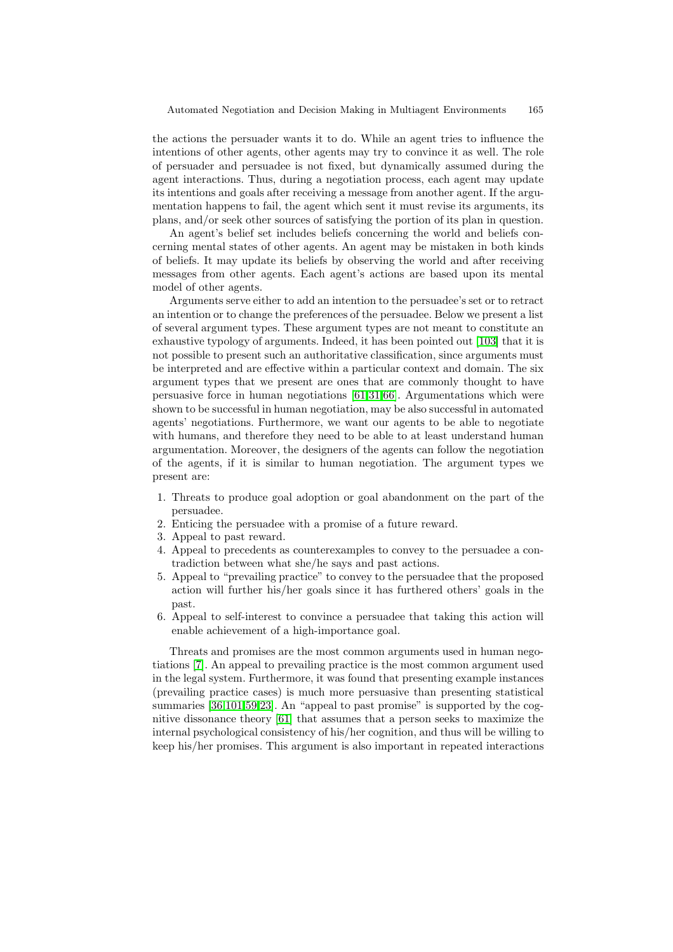the actions the persuader wants it to do. While an agent tries to influence the intentions of other agents, other agents may try to convince it as well. The role of persuader and persuadee is not fixed, but dynamically assumed during the agent interactions. Thus, during a negotiation process, each agent may update its intentions and goals after receiving a message from another agent. If the argumentation happens to fail, the agent which sent it must revise its arguments, its plans, and/or seek other sources of satisfying the portion of its plan in question.

An agent's belief set includes beliefs concerning the world and beliefs concerning mental states of other agents. An agent may be mistaken in both kinds of beliefs. It may update its beliefs by observing the world and after receiving messages from other agents. Each agent's actions are based upon its mental model of other agents.

Arguments serve either to add an intention to the persuadee's set or to retract an intention or to change the preferences of the persuadee. Below we present a list of several argument types. These argument types are not meant to constitute an exhaustive typology of arguments. Indeed, it has been pointed out [\[103\]](#page-21-19) that it is not possible to present such an authoritative classification, since arguments must be interpreted and are effective within a particular context and domain. The six argument types that we present are ones that are commonly thought to have persuasive force in human negotiations [\[61](#page-19-21)[,31,](#page-18-20)[66\]](#page-19-22). Argumentations which were shown to be successful in human negotiation, may be also successful in automated agents' negotiations. Furthermore, we want our agents to be able to negotiate with humans, and therefore they need to be able to at least understand human argumentation. Moreover, the designers of the agents can follow the negotiation of the agents, if it is similar to human negotiation. The argument types we present are:

- 1. Threats to produce goal adoption or goal abandonment on the part of the persuadee.
- 2. Enticing the persuadee with a promise of a future reward.
- 3. Appeal to past reward.
- 4. Appeal to precedents as counterexamples to convey to the persuadee a contradiction between what she/he says and past actions.
- 5. Appeal to "prevailing practice" to convey to the persuadee that the proposed action will further his/her goals since it has furthered others' goals in the past.
- 6. Appeal to self-interest to convince a persuadee that taking this action will enable achievement of a high-importance goal.

Threats and promises are the most common arguments used in human negotiations [\[7\]](#page-16-7). An appeal to prevailing practice is the most common argument used in the legal system. Furthermore, it was found that presenting example instances (prevailing practice cases) is much more persuasive than presenting statistical summaries [\[36](#page-18-21)[,101](#page-21-20)[,59,](#page-19-23)[23\]](#page-17-19). An "appeal to past promise" is supported by the cognitive dissonance theory [\[61\]](#page-19-21) that assumes that a person seeks to maximize the internal psychological consistency of his/her cognition, and thus will be willing to keep his/her promises. This argument is also important in repeated interactions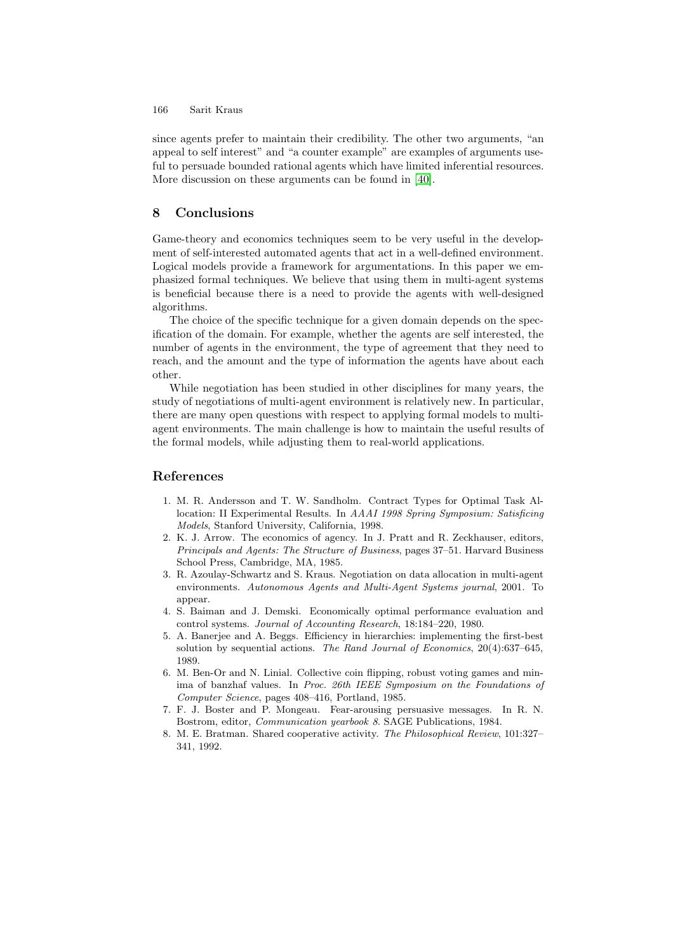since agents prefer to maintain their credibility. The other two arguments, "an appeal to self interest" and "a counter example" are examples of arguments useful to persuade bounded rational agents which have limited inferential resources. More discussion on these arguments can be found in [\[40\]](#page-18-4).

# **8 Conclusions**

Game-theory and economics techniques seem to be very useful in the development of self-interested automated agents that act in a well-defined environment. Logical models provide a framework for argumentations. In this paper we emphasized formal techniques. We believe that using them in multi-agent systems is beneficial because there is a need to provide the agents with well-designed algorithms.

The choice of the specific technique for a given domain depends on the specification of the domain. For example, whether the agents are self interested, the number of agents in the environment, the type of agreement that they need to reach, and the amount and the type of information the agents have about each other.

While negotiation has been studied in other disciplines for many years, the study of negotiations of multi-agent environment is relatively new. In particular, there are many open questions with respect to applying formal models to multiagent environments. The main challenge is how to maintain the useful results of the formal models, while adjusting them to real-world applications.

### <span id="page-16-2"></span>**References**

- 1. M. R. Andersson and T. W. Sandholm. Contract Types for Optimal Task Allocation: II Experimental Results. In *AAAI 1998 Spring Symposium: Satisficing Models*, Stanford University, California, 1998.
- <span id="page-16-3"></span>2. K. J. Arrow. The economics of agency. In J. Pratt and R. Zeckhauser, editors, *Principals and Agents: The Structure of Business*, pages 37–51. Harvard Business School Press, Cambridge, MA, 1985.
- <span id="page-16-1"></span>3. R. Azoulay-Schwartz and S. Kraus. Negotiation on data allocation in multi-agent environments. *Autonomous Agents and Multi-Agent Systems journal*, 2001. To appear.
- <span id="page-16-4"></span>4. S. Baiman and J. Demski. Economically optimal performance evaluation and control systems. *Journal of Accounting Research*, 18:184–220, 1980.
- <span id="page-16-5"></span>5. A. Banerjee and A. Beggs. Efficiency in hierarchies: implementing the first-best solution by sequential actions. *The Rand Journal of Economics*, 20(4):637–645, 1989.
- <span id="page-16-0"></span>6. M. Ben-Or and N. Linial. Collective coin flipping, robust voting games and minima of banzhaf values. In *Proc. 26th IEEE Symposium on the Foundations of Computer Science*, pages 408–416, Portland, 1985.
- <span id="page-16-7"></span>7. F. J. Boster and P. Mongeau. Fear-arousing persuasive messages. In R. N. Bostrom, editor, *Communication yearbook 8*. SAGE Publications, 1984.
- <span id="page-16-6"></span>8. M. E. Bratman. Shared cooperative activity. *The Philosophical Review*, 101:327– 341, 1992.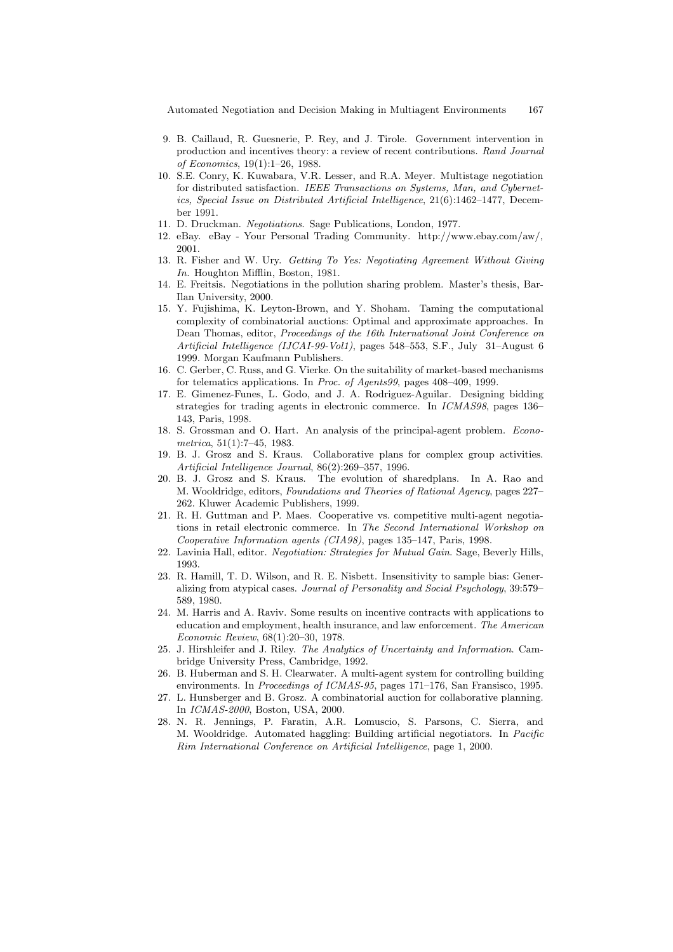- <span id="page-17-15"></span>9. B. Caillaud, R. Guesnerie, P. Rey, and J. Tirole. Government intervention in production and incentives theory: a review of recent contributions. *Rand Journal of Economics*, 19(1):1–26, 1988.
- <span id="page-17-1"></span>10. S.E. Conry, K. Kuwabara, V.R. Lesser, and R.A. Meyer. Multistage negotiation for distributed satisfaction. *IEEE Transactions on Systems, Man, and Cybernetics, Special Issue on Distributed Artificial Intelligence*, 21(6):1462–1477, December 1991.
- <span id="page-17-7"></span><span id="page-17-3"></span>11. D. Druckman. *Negotiations*. Sage Publications, London, 1977.
- <span id="page-17-2"></span>12. eBay. eBay - Your Personal Trading Community. http://www.ebay.com/aw/, 2001.
- 13. R. Fisher and W. Ury. *Getting To Yes: Negotiating Agreement Without Giving In.* Houghton Mifflin, Boston, 1981.
- <span id="page-17-5"></span>14. E. Freitsis. Negotiations in the pollution sharing problem. Master's thesis, Bar-Ilan University, 2000.
- <span id="page-17-10"></span>15. Y. Fujishima, K. Leyton-Brown, and Y. Shoham. Taming the computational complexity of combinatorial auctions: Optimal and approximate approaches. In Dean Thomas, editor, *Proceedings of the 16th International Joint Conference on Artificial Intelligence (IJCAI-99-Vol1)*, pages 548–553, S.F., July 31–August 6 1999. Morgan Kaufmann Publishers.
- <span id="page-17-12"></span>16. C. Gerber, C. Russ, and G. Vierke. On the suitability of market-based mechanisms for telematics applications. In *Proc. of Agents99*, pages 408–409, 1999.
- <span id="page-17-8"></span>17. E. Gimenez-Funes, L. Godo, and J. A. Rodriguez-Aguilar. Designing bidding strategies for trading agents in electronic commerce. In *ICMAS98*, pages 136– 143, Paris, 1998.
- <span id="page-17-13"></span>18. S. Grossman and O. Hart. An analysis of the principal-agent problem. *Econometrica*, 51(1):7–45, 1983.
- <span id="page-17-17"></span>19. B. J. Grosz and S. Kraus. Collaborative plans for complex group activities. *Artificial Intelligence Journal*, 86(2):269–357, 1996.
- <span id="page-17-18"></span>20. B. J. Grosz and S. Kraus. The evolution of sharedplans. In A. Rao and M. Wooldridge, editors, *Foundations and Theories of Rational Agency*, pages 227– 262. Kluwer Academic Publishers, 1999.
- <span id="page-17-6"></span>21. R. H. Guttman and P. Maes. Cooperative vs. competitive multi-agent negotiations in retail electronic commerce. In *The Second International Workshop on Cooperative Information agents (CIA98)*, pages 135–147, Paris, 1998.
- <span id="page-17-19"></span><span id="page-17-4"></span>22. Lavinia Hall, editor. *Negotiation: Strategies for Mutual Gain*. Sage, Beverly Hills, 1993.
- 23. R. Hamill, T. D. Wilson, and R. E. Nisbett. Insensitivity to sample bias: Generalizing from atypical cases. *Journal of Personality and Social Psychology*, 39:579– 589, 1980.
- <span id="page-17-16"></span>24. M. Harris and A. Raviv. Some results on incentive contracts with applications to education and employment, health insurance, and law enforcement. *The American Economic Review*, 68(1):20–30, 1978.
- <span id="page-17-14"></span>25. J. Hirshleifer and J. Riley. *The Analytics of Uncertainty and Information*. Cambridge University Press, Cambridge, 1992.
- <span id="page-17-9"></span>26. B. Huberman and S. H. Clearwater. A multi-agent system for controlling building environments. In *Proceedings of ICMAS-95*, pages 171–176, San Fransisco, 1995.
- <span id="page-17-11"></span>27. L. Hunsberger and B. Grosz. A combinatorial auction for collaborative planning. In *ICMAS-2000*, Boston, USA, 2000.
- <span id="page-17-0"></span>28. N. R. Jennings, P. Faratin, A.R. Lomuscio, S. Parsons, C. Sierra, and M. Wooldridge. Automated haggling: Building artificial negotiators. In *Pacific Rim International Conference on Artificial Intelligence*, page 1, 2000.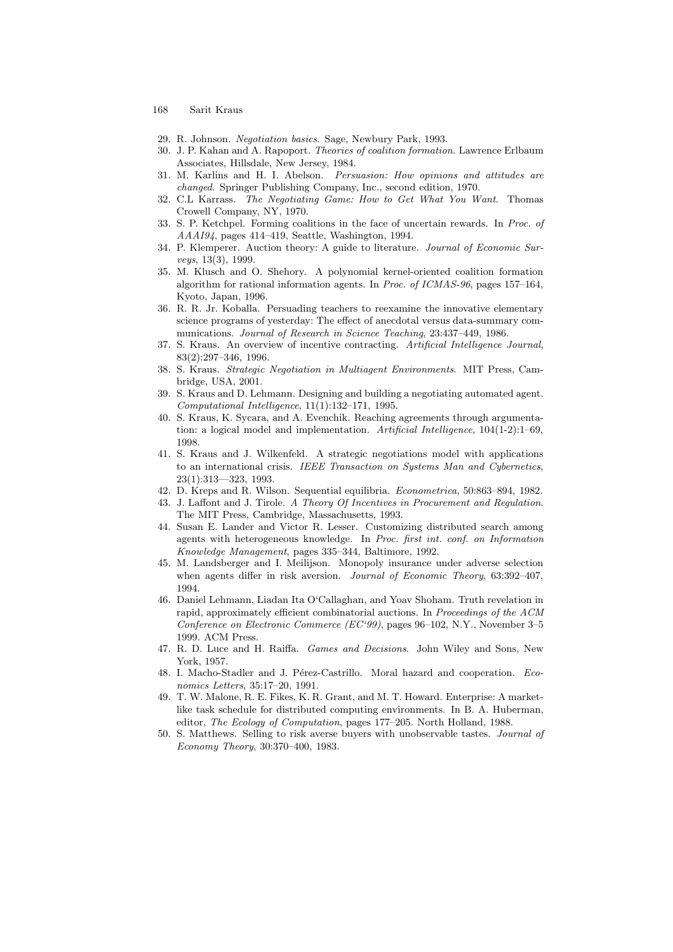- <span id="page-18-11"></span><span id="page-18-3"></span>29. R. Johnson. *Negotiation basics*. Sage, Newbury Park, 1993.
- 30. J. P. Kahan and A. Rapoport. *Theories of coalition formation*. Lawrence Erlbaum Associates, Hillsdale, New Jersey, 1984.
- <span id="page-18-20"></span><span id="page-18-2"></span>31. M. Karlins and H. I. Abelson. *Persuasion: How opinions and attitudes are changed*. Springer Publishing Company, Inc., second edition, 1970.
- 32. C.L Karrass. *The Negotiating Game: How to Get What You Want*. Thomas Crowell Company, NY, 1970.
- <span id="page-18-13"></span>33. S. P. Ketchpel. Forming coalitions in the face of uncertain rewards. In *Proc. of AAAI94*, pages 414–419, Seattle, Washington, 1994.
- <span id="page-18-9"></span>34. P. Klemperer. Auction theory: A guide to literature. *Journal of Economic Surveys*, 13(3), 1999.
- <span id="page-18-12"></span>35. M. Klusch and O. Shehory. A polynomial kernel-oriented coalition formation algorithm for rational information agents. In *Proc. of ICMAS-96*, pages 157–164, Kyoto, Japan, 1996.
- <span id="page-18-21"></span>36. R. R. Jr. Koballa. Persuading teachers to reexamine the innovative elementary science programs of yesterday: The effect of anecdotal versus data-summary communications. *Journal of Research in Science Teaching*, 23:437–449, 1986.
- <span id="page-18-19"></span>37. S. Kraus. An overview of incentive contracting. *Artificial Intelligence Journal*, 83(2):297–346, 1996.
- <span id="page-18-7"></span>38. S. Kraus. *Strategic Negotiation in Multiagent Environments*. MIT Press, Cambridge, USA, 2001.
- <span id="page-18-1"></span>39. S. Kraus and D. Lehmann. Designing and building a negotiating automated agent. *Computational Intelligence*, 11(1):132–171, 1995.
- <span id="page-18-4"></span>40. S. Kraus, K. Sycara, and A. Evenchik. Reaching agreements through argumentation: a logical model and implementation. *Artificial Intelligence*, 104(1-2):1–69, 1998.
- <span id="page-18-8"></span>41. S. Kraus and J. Wilkenfeld. A strategic negotiations model with applications to an international crisis. *IEEE Transaction on Systems Man and Cybernetics*, 23(1):313—323, 1993.
- <span id="page-18-14"></span><span id="page-18-6"></span>42. D. Kreps and R. Wilson. Sequential equilibria. *Econometrica*, 50:863–894, 1982.
- 43. J. Laffont and J. Tirole. *A Theory Of Incentives in Procurement and Regulation*. The MIT Press, Cambridge, Massachusetts, 1993.
- <span id="page-18-0"></span>44. Susan E. Lander and Victor R. Lesser. Customizing distributed search among agents with heterogeneous knowledge. In *Proc. first int. conf. on Information Knowledge Management*, pages 335–344, Baltimore, 1992.
- <span id="page-18-16"></span>45. M. Landsberger and I. Meilijson. Monopoly insurance under adverse selection when agents differ in risk aversion. *Journal of Economic Theory*, 63:392–407, 1994.
- <span id="page-18-10"></span>46. Daniel Lehmann, Liadan Ita O'Callaghan, and Yoav Shoham. Truth revelation in rapid, approximately efficient combinatorial auctions. In *Proceedings of the ACM Conference on Electronic Commerce (EC'99)*, pages 96–102, N.Y., November 3–5 1999. ACM Press.
- <span id="page-18-5"></span>47. R. D. Luce and H. Raiffa. *Games and Decisions*. John Wiley and Sons, New York, 1957.
- <span id="page-18-15"></span>48. I. Macho-Stadler and J. Pérez-Castrillo. Moral hazard and cooperation. *Economics Letters*, 35:17–20, 1991.
- <span id="page-18-18"></span>49. T. W. Malone, R. E. Fikes, K. R. Grant, and M. T. Howard. Enterprise: A marketlike task schedule for distributed computing environments. In B. A. Huberman, editor, *The Ecology of Computation*, pages 177–205. North Holland, 1988.
- <span id="page-18-17"></span>50. S. Matthews. Selling to risk averse buyers with unobservable tastes. *Journal of Economy Theory*, 30:370–400, 1983.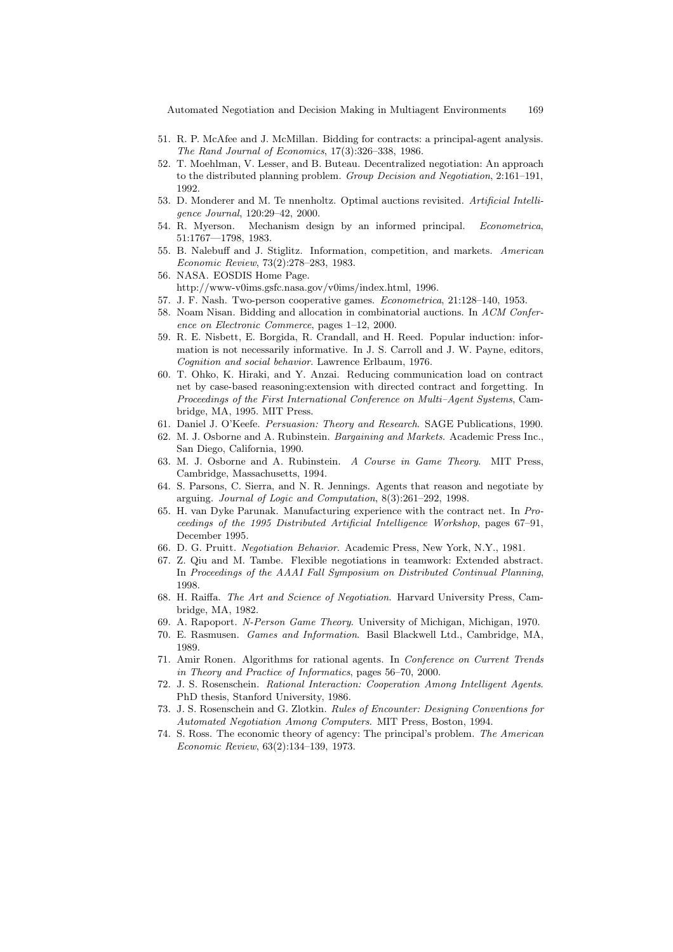- <span id="page-19-16"></span>51. R. P. McAfee and J. McMillan. Bidding for contracts: a principal-agent analysis. *The Rand Journal of Economics*, 17(3):326–338, 1986.
- <span id="page-19-0"></span>52. T. Moehlman, V. Lesser, and B. Buteau. Decentralized negotiation: An approach to the distributed planning problem. *Group Decision and Negotiation*, 2:161–191, 1992.
- <span id="page-19-15"></span><span id="page-19-8"></span>53. D. Monderer and M. Te nnenholtz. Optimal auctions revisited. *Artificial Intelligence Journal*, 120:29–42, 2000.
- <span id="page-19-14"></span>54. R. Myerson. Mechanism design by an informed principal. *Econometrica*, 51:1767—1798, 1983.
- 55. B. Nalebuff and J. Stiglitz. Information, competition, and markets. *American Economic Review*, 73(2):278–283, 1983.
- <span id="page-19-4"></span>56. NASA. EOSDIS Home Page. http://www-v0ims.gsfc.nasa.gov/v0ims/index.html, 1996.
- <span id="page-19-10"></span><span id="page-19-6"></span>57. J. F. Nash. Two-person cooperative games. *Econometrica*, 21:128–140, 1953.
- 58. Noam Nisan. Bidding and allocation in combinatorial auctions. In *ACM Conference on Electronic Commerce*, pages 1–12, 2000.
- <span id="page-19-23"></span>59. R. E. Nisbett, E. Borgida, R. Crandall, and H. Reed. Popular induction: information is not necessarily informative. In J. S. Carroll and J. W. Payne, editors, *Cognition and social behavior*. Lawrence Erlbaum, 1976.
- <span id="page-19-18"></span>60. T. Ohko, K. Hiraki, and Y. Anzai. Reducing communication load on contract net by case-based reasoning:extension with directed contract and forgetting. In *Proceedings of the First International Conference on Multi–Agent Systems*, Cambridge, MA, 1995. MIT Press.
- <span id="page-19-21"></span><span id="page-19-2"></span>61. Daniel J. O'Keefe. *Persuasion: Theory and Research*. SAGE Publications, 1990.
- 62. M. J. Osborne and A. Rubinstein. *Bargaining and Markets*. Academic Press Inc., San Diego, California, 1990.
- <span id="page-19-5"></span>63. M. J. Osborne and A. Rubinstein. *A Course in Game Theory*. MIT Press, Cambridge, Massachusetts, 1994.
- <span id="page-19-19"></span>64. S. Parsons, C. Sierra, and N. R. Jennings. Agents that reason and negotiate by arguing. *Journal of Logic and Computation*, 8(3):261–292, 1998.
- <span id="page-19-17"></span>65. H. van Dyke Parunak. Manufacturing experience with the contract net. In *Proceedings of the 1995 Distributed Artificial Intelligence Workshop*, pages 67–91, December 1995.
- <span id="page-19-22"></span><span id="page-19-20"></span>66. D. G. Pruitt. *Negotiation Behavior*. Academic Press, New York, N.Y., 1981.
- 67. Z. Qiu and M. Tambe. Flexible negotiations in teamwork: Extended abstract. In *Proceedings of the AAAI Fall Symposium on Distributed Continual Planning*, 1998.
- <span id="page-19-3"></span>68. H. Raiffa. *The Art and Science of Negotiation*. Harvard University Press, Cambridge, MA, 1982.
- <span id="page-19-13"></span><span id="page-19-11"></span>69. A. Rapoport. *N-Person Game Theory*. University of Michigan, Michigan, 1970.
- <span id="page-19-7"></span>70. E. Rasmusen. *Games and Information*. Basil Blackwell Ltd., Cambridge, MA, 1989.
- 71. Amir Ronen. Algorithms for rational agents. In *Conference on Current Trends in Theory and Practice of Informatics*, pages 56–70, 2000.
- <span id="page-19-9"></span>72. J. S. Rosenschein. *Rational Interaction: Cooperation Among Intelligent Agents*. PhD thesis, Stanford University, 1986.
- <span id="page-19-1"></span>73. J. S. Rosenschein and G. Zlotkin. *Rules of Encounter: Designing Conventions for Automated Negotiation Among Computers*. MIT Press, Boston, 1994.
- <span id="page-19-12"></span>74. S. Ross. The economic theory of agency: The principal's problem. *The American Economic Review*, 63(2):134–139, 1973.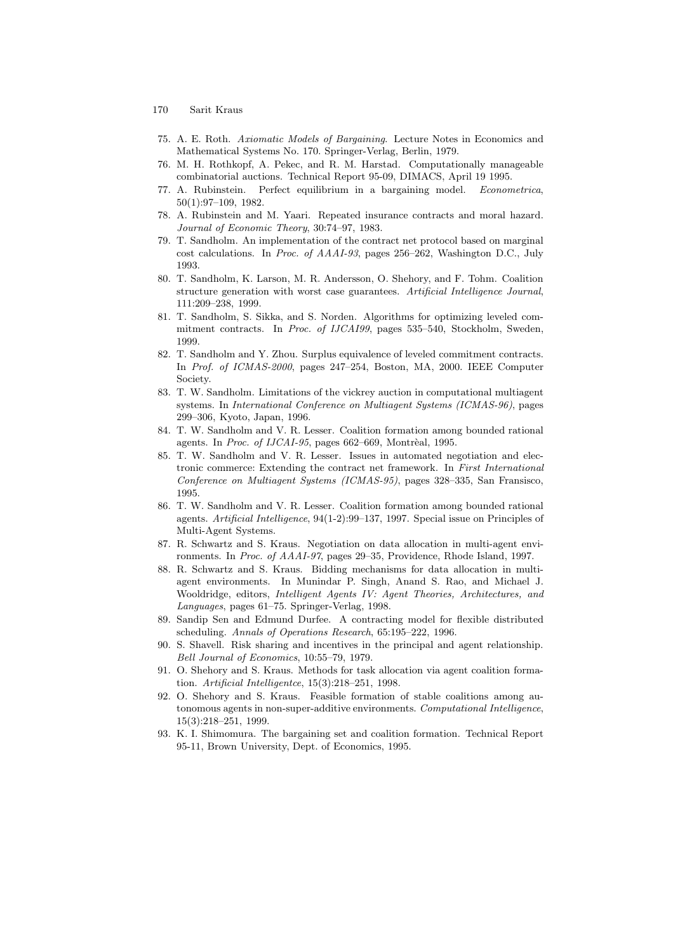- <span id="page-20-7"></span><span id="page-20-1"></span>75. A. E. Roth. *Axiomatic Models of Bargaining*. Lecture Notes in Economics and Mathematical Systems No. 170. Springer-Verlag, Berlin, 1979.
- <span id="page-20-2"></span>76. M. H. Rothkopf, A. Pekec, and R. M. Harstad. Computationally manageable combinatorial auctions. Technical Report 95-09, DIMACS, April 19 1995.
- <span id="page-20-14"></span>77. A. Rubinstein. Perfect equilibrium in a bargaining model. *Econometrica*, 50(1):97–109, 1982.
- <span id="page-20-4"></span>78. A. Rubinstein and M. Yaari. Repeated insurance contracts and moral hazard. *Journal of Economic Theory*, 30:74–97, 1983.
- 79. T. Sandholm. An implementation of the contract net protocol based on marginal cost calculations. In *Proc. of AAAI-93*, pages 256–262, Washington D.C., July 1993.
- <span id="page-20-12"></span>80. T. Sandholm, K. Larson, M. R. Andersson, O. Shehory, and F. Tohm. Coalition structure generation with worst case guarantees. *Artificial Intelligence Journal*, 111:209–238, 1999.
- <span id="page-20-17"></span>81. T. Sandholm, S. Sikka, and S. Norden. Algorithms for optimizing leveled commitment contracts. In *Proc. of IJCAI99*, pages 535–540, Stockholm, Sweden, 1999.
- <span id="page-20-18"></span>82. T. Sandholm and Y. Zhou. Surplus equivalence of leveled commitment contracts. In *Prof. of ICMAS-2000*, pages 247–254, Boston, MA, 2000. IEEE Computer Society.
- <span id="page-20-5"></span>83. T. W. Sandholm. Limitations of the vickrey auction in computational multiagent systems. In *International Conference on Multiagent Systems (ICMAS-96)*, pages 299–306, Kyoto, Japan, 1996.
- <span id="page-20-13"></span>84. T. W. Sandholm and V. R. Lesser. Coalition formation among bounded rational agents. In *Proc. of IJCAI-95*, pages 662–669, Montrèal, 1995.
- <span id="page-20-0"></span>85. T. W. Sandholm and V. R. Lesser. Issues in automated negotiation and electronic commerce: Extending the contract net framework. In *First International Conference on Multiagent Systems (ICMAS-95)*, pages 328–335, San Fransisco, 1995.
- <span id="page-20-8"></span>86. T. W. Sandholm and V. R. Lesser. Coalition formation among bounded rational agents. *Artificial Intelligence*, 94(1-2):99–137, 1997. Special issue on Principles of Multi-Agent Systems.
- <span id="page-20-3"></span>87. R. Schwartz and S. Kraus. Negotiation on data allocation in multi-agent environments. In *Proc. of AAAI-97*, pages 29–35, Providence, Rhode Island, 1997.
- <span id="page-20-6"></span>88. R. Schwartz and S. Kraus. Bidding mechanisms for data allocation in multiagent environments. In Munindar P. Singh, Anand S. Rao, and Michael J. Wooldridge, editors, *Intelligent Agents IV: Agent Theories, Architectures, and Languages*, pages 61–75. Springer-Verlag, 1998.
- <span id="page-20-16"></span>89. Sandip Sen and Edmund Durfee. A contracting model for flexible distributed scheduling. *Annals of Operations Research*, 65:195–222, 1996.
- <span id="page-20-15"></span>90. S. Shavell. Risk sharing and incentives in the principal and agent relationship. *Bell Journal of Economics*, 10:55–79, 1979.
- <span id="page-20-9"></span>91. O. Shehory and S. Kraus. Methods for task allocation via agent coalition formation. *Artificial Intelligentce*, 15(3):218–251, 1998.
- <span id="page-20-10"></span>92. O. Shehory and S. Kraus. Feasible formation of stable coalitions among autonomous agents in non-super-additive environments. *Computational Intelligence*, 15(3):218–251, 1999.
- <span id="page-20-11"></span>93. K. I. Shimomura. The bargaining set and coalition formation. Technical Report 95-11, Brown University, Dept. of Economics, 1995.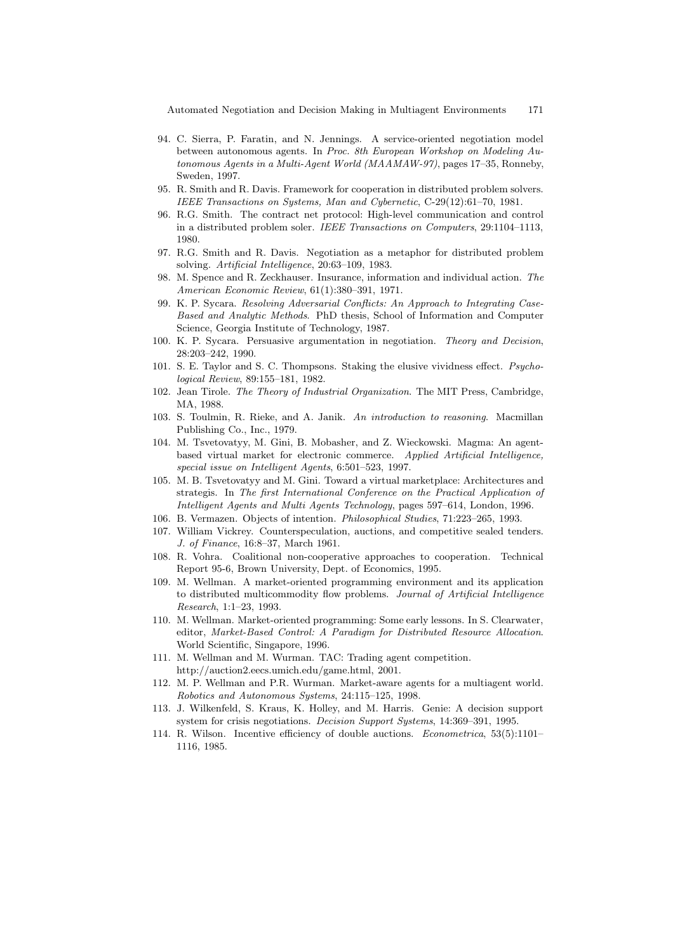- <span id="page-21-2"></span>94. C. Sierra, P. Faratin, and N. Jennings. A service-oriented negotiation model between autonomous agents. In *Proc. 8th European Workshop on Modeling Autonomous Agents in a Multi-Agent World (MAAMAW-97)*, pages 17–35, Ronneby, Sweden, 1997.
- <span id="page-21-15"></span>95. R. Smith and R. Davis. Framework for cooperation in distributed problem solvers. *IEEE Transactions on Systems, Man and Cybernetic*, C-29(12):61–70, 1981.
- <span id="page-21-17"></span>96. R.G. Smith. The contract net protocol: High-level communication and control in a distributed problem soler. *IEEE Transactions on Computers*, 29:1104–1113, 1980.
- <span id="page-21-16"></span>97. R.G. Smith and R. Davis. Negotiation as a metaphor for distributed problem solving. *Artificial Intelligence*, 20:63–109, 1983.
- <span id="page-21-14"></span>98. M. Spence and R. Zeckhauser. Insurance, information and individual action. *The American Economic Review*, 61(1):380–391, 1971.
- <span id="page-21-1"></span>99. K. P. Sycara. *Resolving Adversarial Conflicts: An Approach to Integrating Case-Based and Analytic Methods*. PhD thesis, School of Information and Computer Science, Georgia Institute of Technology, 1987.
- <span id="page-21-0"></span>100. K. P. Sycara. Persuasive argumentation in negotiation. *Theory and Decision*, 28:203–242, 1990.
- <span id="page-21-20"></span><span id="page-21-3"></span>101. S. E. Taylor and S. C. Thompsons. Staking the elusive vividness effect. *Psychological Review*, 89:155–181, 1982.
- 102. Jean Tirole. *The Theory of Industrial Organization*. The MIT Press, Cambridge, MA, 1988.
- <span id="page-21-19"></span>103. S. Toulmin, R. Rieke, and A. Janik. *An introduction to reasoning*. Macmillan Publishing Co., Inc., 1979.
- <span id="page-21-8"></span>104. M. Tsvetovatyy, M. Gini, B. Mobasher, and Z. Wieckowski. Magma: An agentbased virtual market for electronic commerce. *Applied Artificial Intelligence, special issue on Intelligent Agents*, 6:501–523, 1997.
- <span id="page-21-7"></span>105. M. B. Tsvetovatyy and M. Gini. Toward a virtual marketplace: Architectures and strategis. In *The first International Conference on the Practical Application of Intelligent Agents and Multi Agents Technology*, pages 597–614, London, 1996.
- <span id="page-21-18"></span><span id="page-21-6"></span>106. B. Vermazen. Objects of intention. *Philosophical Studies*, 71:223–265, 1993.
- 107. William Vickrey. Counterspeculation, auctions, and competitive sealed tenders. *J. of Finance*, 16:8–37, March 1961.
- <span id="page-21-13"></span>108. R. Vohra. Coalitional non-cooperative approaches to cooperation. Technical Report 95-6, Brown University, Dept. of Economics, 1995.
- <span id="page-21-10"></span>109. M. Wellman. A market-oriented programming environment and its application to distributed multicommodity flow problems. *Journal of Artificial Intelligence Research*, 1:1–23, 1993.
- <span id="page-21-12"></span>110. M. Wellman. Market-oriented programming: Some early lessons. In S. Clearwater, editor, *Market-Based Control: A Paradigm for Distributed Resource Allocation*. World Scientific, Singapore, 1996.
- <span id="page-21-5"></span>111. M. Wellman and M. Wurman. TAC: Trading agent competition. http://auction2.eecs.umich.edu/game.html, 2001.
- <span id="page-21-11"></span>112. M. P. Wellman and P.R. Wurman. Market-aware agents for a multiagent world. *Robotics and Autonomous Systems*, 24:115–125, 1998.
- <span id="page-21-4"></span>113. J. Wilkenfeld, S. Kraus, K. Holley, and M. Harris. Genie: A decision support system for crisis negotiations. *Decision Support Systems*, 14:369–391, 1995.
- <span id="page-21-9"></span>114. R. Wilson. Incentive efficiency of double auctions. *Econometrica*, 53(5):1101– 1116, 1985.